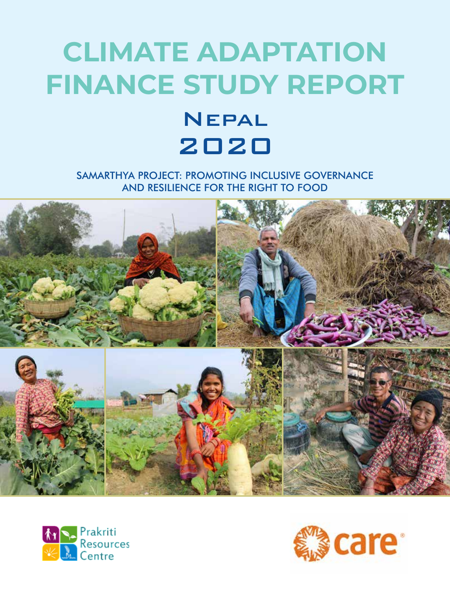## **CLIMATE ADAPTATION FINANCE STUDY REPORT NEPAL**

# 2020

SAMARTHYA PROJECT: PROMOTING INCLUSIVE GOVERNANCE AND RESILIENCE FOR THE RIGHT TO FOOD





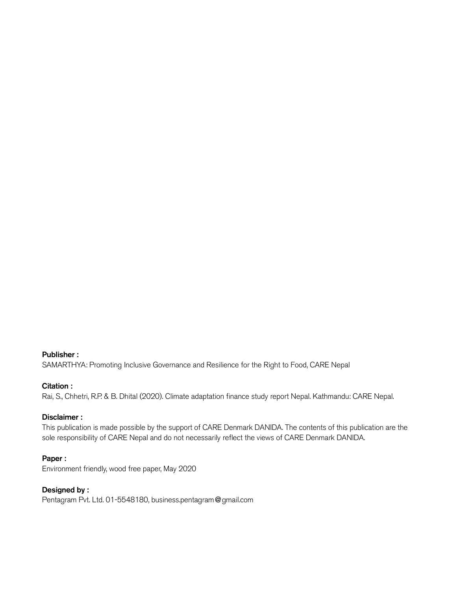#### Publisher :

SAMARTHYA: Promoting Inclusive Governance and Resilience for the Right to Food, CARE Nepal

#### Citation :

Rai, S., Chhetri, R.P. & B. Dhital (2020). Climate adaptation finance study report Nepal. Kathmandu: CARE Nepal.

#### Disclaimer :

This publication is made possible by the support of CARE Denmark DANIDA. The contents of this publication are the sole responsibility of CARE Nepal and do not necessarily reflect the views of CARE Denmark DANIDA.

#### Paper :

Environment friendly, wood free paper, May 2020

#### Designed by :

Pentagram Pvt. Ltd. 01-5548180, business.pentagram@gmail.com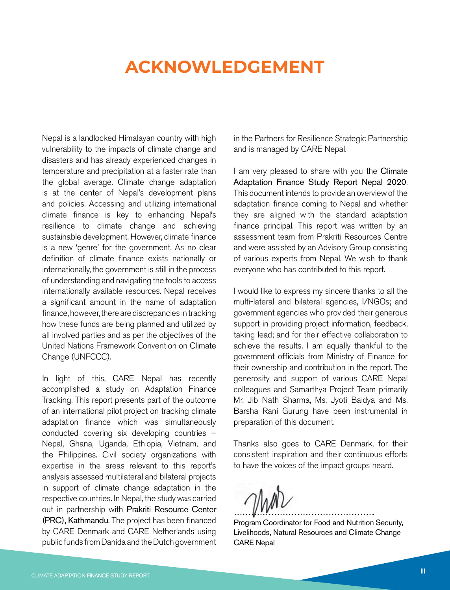### **ACKNOWLEDGEMENT**

Nepal is a landlocked Himalayan country with high vulnerability to the impacts of climate change and disasters and has already experienced changes in temperature and precipitation at a faster rate than the global average. Climate change adaptation is at the center of Nepal's development plans and policies. Accessing and utilizing international climate finance is key to enhancing Nepal's resilience to climate change and achieving sustainable development. However, climate finance is a new 'genre' for the government. As no clear definition of climate finance exists nationally or internationally, the government is still in the process of understanding and navigating the tools to access internationally available resources. Nepal receives a significant amount in the name of adaptation finance, however, there are discrepancies in tracking how these funds are being planned and utilized by all involved parties and as per the objectives of the United Nations Framework Convention on Climate Change (UNFCCC).

In light of this, CARE Nepal has recently accomplished a study on Adaptation Finance Tracking. This report presents part of the outcome of an international pilot project on tracking climate adaptation finance which was simultaneously conducted covering six developing countries – Nepal, Ghana, Uganda, Ethiopia, Vietnam, and the Philippines. Civil society organizations with expertise in the areas relevant to this report's analysis assessed multilateral and bilateral projects in support of climate change adaptation in the respective countries. In Nepal, the study was carried out in partnership with Prakriti Resource Center (PRC), Kathmandu. The project has been financed by CARE Denmark and CARE Netherlands using public funds from Danida and the Dutch government in the Partners for Resilience Strategic Partnership and is managed by CARE Nepal.

I am very pleased to share with you the Climate Adaptation Finance Study Report Nepal 2020. This document intends to provide an overview of the adaptation finance coming to Nepal and whether they are aligned with the standard adaptation finance principal. This report was written by an assessment team from Prakriti Resources Centre and were assisted by an Advisory Group consisting of various experts from Nepal. We wish to thank everyone who has contributed to this report.

I would like to express my sincere thanks to all the multi-lateral and bilateral agencies, I/NGOs; and government agencies who provided their generous support in providing project information, feedback, taking lead; and for their effective collaboration to achieve the results. I am equally thankful to the government officials from Ministry of Finance for their ownership and contribution in the report. The generosity and support of various CARE Nepal colleagues and Samarthya Project Team primarily Mr. Jib Nath Sharma, Ms. Jyoti Baidya and Ms. Barsha Rani Gurung have been instrumental in preparation of this document.

Thanks also goes to CARE Denmark, for their consistent inspiration and their continuous efforts to have the voices of the impact groups heard.

…………………………………………..

Program Coordinator for Food and Nutrition Security, Livelihoods, Natural Resources and Climate Change CARE Nepal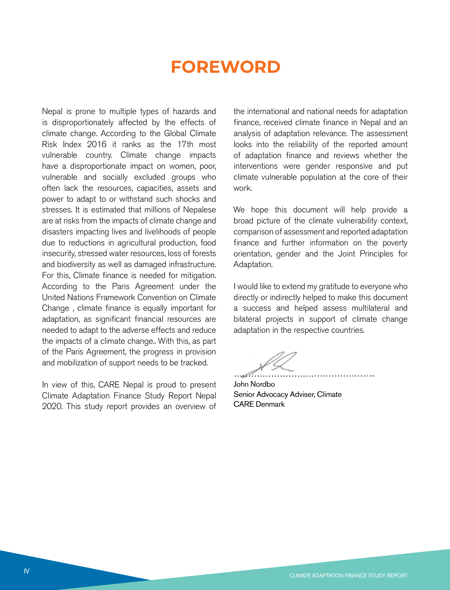### **FOREWORD**

Nepal is prone to multiple types of hazards and is disproportionately affected by the effects of climate change. According to the Global Climate Risk Index 2016 it ranks as the 17th most vulnerable country. Climate change impacts have a disproportionate impact on women, poor, vulnerable and socially excluded groups who often lack the resources, capacities, assets and power to adapt to or withstand such shocks and stresses. It is estimated that millions of Nepalese are at risks from the impacts of climate change and disasters impacting lives and livelihoods of people due to reductions in agricultural production, food insecurity, stressed water resources, loss of forests and biodiversity as well as damaged infrastructure. For this, Climate finance is needed for mitigation. According to the Paris Agreement under the United Nations Framework Convention on Climate Change , climate finance is equally important for adaptation, as significant financial resources are needed to adapt to the adverse effects and reduce the impacts of a climate change.. With this, as part of the Paris Agreement, the progress in provision and mobilization of support needs to be tracked.

In view of this, CARE Nepal is proud to present Climate Adaptation Finance Study Report Nepal 2020. This study report provides an overview of

the international and national needs for adaptation finance, received climate finance in Nepal and an analysis of adaptation relevance. The assessment looks into the reliability of the reported amount of adaptation finance and reviews whether the interventions were gender responsive and put climate vulnerable population at the core of their work.

We hope this document will help provide a broad picture of the climate vulnerability context, comparison of assessment and reported adaptation finance and further information on the poverty orientation, gender and the Joint Principles for Adaptation.

I would like to extend my gratitude to everyone who directly or indirectly helped to make this document a success and helped assess multilateral and bilateral projects in support of climate change adaptation in the respective countries.

…………………………………………..

John Nordbo Senior Advocacy Adviser, Climate CARE Denmark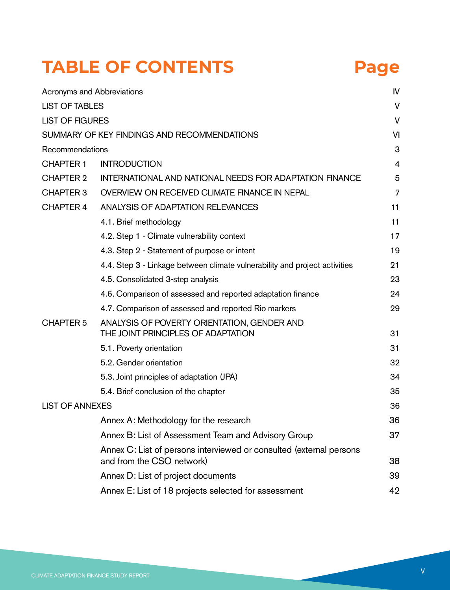## **TABLE OF CONTENTS Page**

| Acronyms and Abbreviations |                                                                                                  | IV |
|----------------------------|--------------------------------------------------------------------------------------------------|----|
| <b>LIST OF TABLES</b>      |                                                                                                  | V  |
| <b>LIST OF FIGURES</b>     |                                                                                                  | V  |
|                            | SUMMARY OF KEY FINDINGS AND RECOMMENDATIONS                                                      | VI |
| Recommendations            |                                                                                                  | 3  |
| <b>CHAPTER 1</b>           | <b>INTRODUCTION</b>                                                                              | 4  |
| <b>CHAPTER 2</b>           | INTERNATIONAL AND NATIONAL NEEDS FOR ADAPTATION FINANCE                                          | 5  |
| <b>CHAPTER 3</b>           | OVERVIEW ON RECEIVED CLIMATE FINANCE IN NEPAL                                                    | 7  |
| <b>CHAPTER 4</b>           | ANALYSIS OF ADAPTATION RELEVANCES                                                                | 11 |
|                            | 4.1. Brief methodology                                                                           | 11 |
|                            | 4.2. Step 1 - Climate vulnerability context                                                      | 17 |
|                            | 4.3. Step 2 - Statement of purpose or intent                                                     | 19 |
|                            | 4.4. Step 3 - Linkage between climate vulnerability and project activities                       | 21 |
|                            | 4.5. Consolidated 3-step analysis                                                                | 23 |
|                            | 4.6. Comparison of assessed and reported adaptation finance                                      | 24 |
|                            | 4.7. Comparison of assessed and reported Rio markers                                             | 29 |
| <b>CHAPTER 5</b>           | ANALYSIS OF POVERTY ORIENTATION, GENDER AND<br>THE JOINT PRINCIPLES OF ADAPTATION                | 31 |
|                            | 5.1. Poverty orientation                                                                         | 31 |
|                            | 5.2. Gender orientation                                                                          | 32 |
|                            | 5.3. Joint principles of adaptation (JPA)                                                        | 34 |
|                            | 5.4. Brief conclusion of the chapter                                                             | 35 |
| <b>LIST OF ANNEXES</b>     |                                                                                                  | 36 |
|                            | Annex A: Methodology for the research                                                            | 36 |
|                            | Annex B: List of Assessment Team and Advisory Group                                              | 37 |
|                            | Annex C: List of persons interviewed or consulted (external persons<br>and from the CSO network) | 38 |
|                            | Annex D: List of project documents                                                               | 39 |
|                            | Annex E: List of 18 projects selected for assessment                                             | 42 |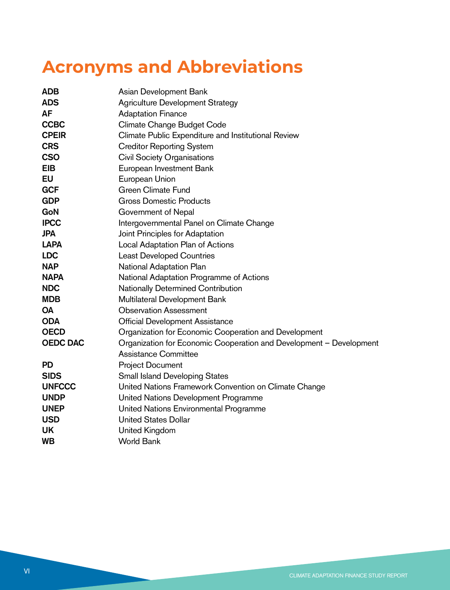## **Acronyms and Abbreviations**

| <b>ADB</b>      | Asian Development Bank                                              |
|-----------------|---------------------------------------------------------------------|
| <b>ADS</b>      | <b>Agriculture Development Strategy</b>                             |
| <b>AF</b>       | <b>Adaptation Finance</b>                                           |
| <b>CCBC</b>     | Climate Change Budget Code                                          |
| <b>CPEIR</b>    | Climate Public Expenditure and Institutional Review                 |
| <b>CRS</b>      | <b>Creditor Reporting System</b>                                    |
| <b>CSO</b>      | <b>Civil Society Organisations</b>                                  |
| <b>EIB</b>      | European Investment Bank                                            |
| <b>EU</b>       | European Union                                                      |
| <b>GCF</b>      | <b>Green Climate Fund</b>                                           |
| <b>GDP</b>      | <b>Gross Domestic Products</b>                                      |
| GoN             | Government of Nepal                                                 |
| <b>IPCC</b>     | Intergovernmental Panel on Climate Change                           |
| <b>JPA</b>      | Joint Principles for Adaptation                                     |
| <b>LAPA</b>     | Local Adaptation Plan of Actions                                    |
| <b>LDC</b>      | <b>Least Developed Countries</b>                                    |
| <b>NAP</b>      | National Adaptation Plan                                            |
| <b>NAPA</b>     | National Adaptation Programme of Actions                            |
| <b>NDC</b>      | Nationally Determined Contribution                                  |
| <b>MDB</b>      | Multilateral Development Bank                                       |
| <b>OA</b>       | <b>Observation Assessment</b>                                       |
| <b>ODA</b>      | <b>Official Development Assistance</b>                              |
| <b>OECD</b>     | Organization for Economic Cooperation and Development               |
| <b>OEDC DAC</b> | Organization for Economic Cooperation and Development - Development |
|                 | Assistance Committee                                                |
| <b>PD</b>       | <b>Project Document</b>                                             |
| <b>SIDS</b>     | <b>Small Island Developing States</b>                               |
| <b>UNFCCC</b>   | United Nations Framework Convention on Climate Change               |
| <b>UNDP</b>     | United Nations Development Programme                                |
| <b>UNEP</b>     | United Nations Environmental Programme                              |
| <b>USD</b>      | <b>United States Dollar</b>                                         |
| UK              | United Kingdom                                                      |
| <b>WB</b>       | <b>World Bank</b>                                                   |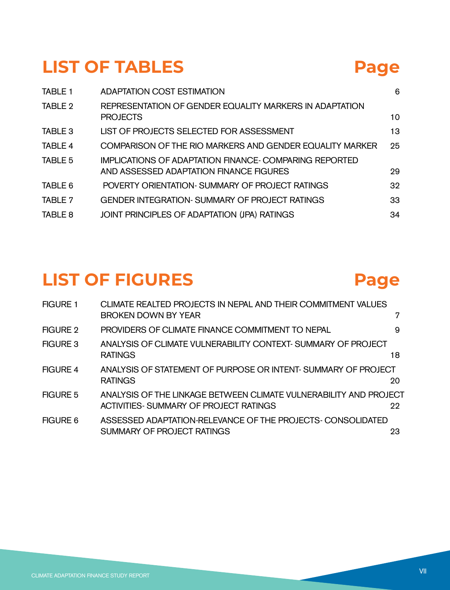### **LIST OF TABLES Page**

| TABLE 1 | <b>ADAPTATION COST ESTIMATION</b>                                                                        | 6  |
|---------|----------------------------------------------------------------------------------------------------------|----|
| TABLE 2 | REPRESENTATION OF GENDER EQUALITY MARKERS IN ADAPTATION<br><b>PROJECTS</b>                               | 10 |
| TABLE 3 | LIST OF PROJECTS SELECTED FOR ASSESSMENT                                                                 | 13 |
| TABLE 4 | COMPARISON OF THE RIO MARKERS AND GENDER EQUALITY MARKER                                                 | 25 |
| TABLE 5 | <b>IMPLICATIONS OF ADAPTATION FINANCE- COMPARING REPORTED</b><br>AND ASSESSED ADAPTATION FINANCE FIGURES | 29 |
| TABLE 6 | POVERTY ORIENTATION- SUMMARY OF PROJECT RATINGS                                                          | 32 |
| TABLE 7 | <b>GENDER INTEGRATION- SUMMARY OF PROJECT RATINGS</b>                                                    | 33 |
| TABLE 8 | JOINT PRINCIPLES OF ADAPTATION (JPA) RATINGS                                                             | 34 |
|         |                                                                                                          |    |

### **LIST OF FIGURES Page**

#### FIGURE 1 CLIMATE REALTED PROJECTS IN NEPAL AND THEIR COMMITMENT VALUES BROKEN DOWN BY YEAR 7 FIGURE 2 PROVIDERS OF CLIMATE FINANCE COMMITMENT TO NEPAL 9 FIGURE 3 ANALYSIS OF CLIMATE VULNERABILITY CONTEXT- SUMMARY OF PROJECT RATINGS 18 FIGURE 4 ANALYSIS OF STATEMENT OF PURPOSE OR INTENT- SUMMARY OF PROJECT RATINGS 20 FIGURE 5 ANALYSIS OF THE LINKAGE BETWEEN CLIMATE VULNERABILITY AND PROJECT ACTIVITIES- SUMMARY OF PROJECT RATINGS 22 FIGURE 6 ASSESSED ADAPTATION-RELEVANCE OF THE PROJECTS- CONSOLIDATED SUMMARY OF PROJECT RATINGS 23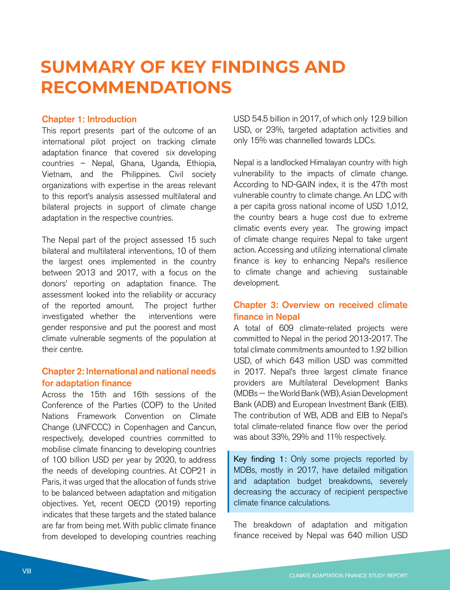## **SUMMARY OF KEY FINDINGS AND RECOMMENDATIONS**

#### Chapter 1: Introduction

This report presents part of the outcome of an international pilot project on tracking climate adaptation finance that covered six developing countries – Nepal, Ghana, Uganda, Ethiopia, Vietnam, and the Philippines. Civil society organizations with expertise in the areas relevant to this report's analysis assessed multilateral and bilateral projects in support of climate change adaptation in the respective countries.

The Nepal part of the project assessed 15 such bilateral and multilateral interventions, 10 of them the largest ones implemented in the country between 2013 and 2017, with a focus on the donors' reporting on adaptation finance. The assessment looked into the reliability or accuracy of the reported amount. The project further investigated whether the interventions were gender responsive and put the poorest and most climate vulnerable segments of the population at their centre.

#### Chapter 2: International and national needs for adaptation finance

Across the 15th and 16th sessions of the Conference of the Parties (COP) to the United Nations Framework Convention on Climate Change (UNFCCC) in Copenhagen and Cancun, respectively, developed countries committed to mobilise climate financing to developing countries of 100 billion USD per year by 2020, to address the needs of developing countries. At COP21 in Paris, it was urged that the allocation of funds strive to be balanced between adaptation and mitigation objectives. Yet, recent OECD (2019) reporting indicates that these targets and the stated balance are far from being met. With public climate finance from developed to developing countries reaching

USD 54.5 billion in 2017, of which only 12.9 billion USD, or 23%, targeted adaptation activities and only 15% was channelled towards LDCs.

Nepal is a landlocked Himalayan country with high vulnerability to the impacts of climate change. According to ND-GAIN index, it is the 47th most vulnerable country to climate change. An LDC with a per capita gross national income of USD 1,012, the country bears a huge cost due to extreme climatic events every year. The growing impact of climate change requires Nepal to take urgent action. Accessing and utilizing international climate finance is key to enhancing Nepal's resilience to climate change and achieving sustainable development.

#### Chapter 3: Overview on received climate finance in Nepal

A total of 609 climate-related projects were committed to Nepal in the period 2013-2017. The total climate commitments amounted to 1.92 billion USD, of which 643 million USD was committed in 2017. Nepal's three largest climate finance providers are Multilateral Development Banks (MDBs -- the World Bank (WB), Asian Development Bank (ADB) and European Investment Bank (EIB). The contribution of WB, ADB and EIB to Nepal's total climate-related finance flow over the period was about 33%, 29% and 11% respectively.

Key finding 1: Only some projects reported by MDBs, mostly in 2017, have detailed mitigation and adaptation budget breakdowns, severely decreasing the accuracy of recipient perspective climate finance calculations.

The breakdown of adaptation and mitigation finance received by Nepal was 640 million USD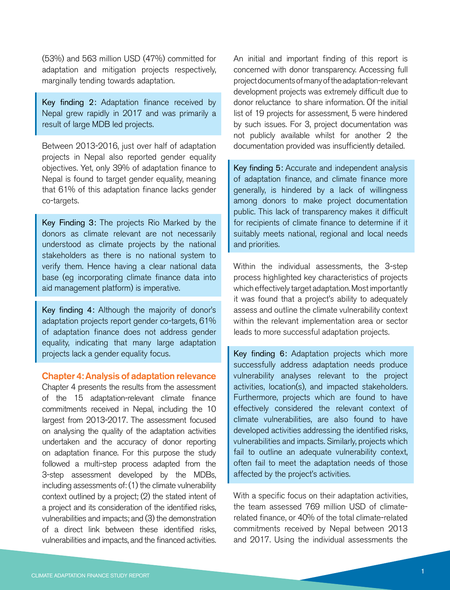(53%) and 563 million USD (47%) committed for adaptation and mitigation projects respectively, marginally tending towards adaptation.

Key finding 2: Adaptation finance received by Nepal grew rapidly in 2017 and was primarily a result of large MDB led projects.

Between 2013-2016, just over half of adaptation projects in Nepal also reported gender equality objectives. Yet, only 39% of adaptation finance to Nepal is found to target gender equality, meaning that 61% of this adaptation finance lacks gender co-targets.

Key Finding 3: The projects Rio Marked by the donors as climate relevant are not necessarily understood as climate projects by the national stakeholders as there is no national system to verify them. Hence having a clear national data base (eg incorporating climate finance data into aid management platform) is imperative.

Key finding 4: Although the majority of donor's adaptation projects report gender co-targets, 61% of adaptation finance does not address gender equality, indicating that many large adaptation projects lack a gender equality focus.

#### Chapter 4: Analysis of adaptation relevance

Chapter 4 presents the results from the assessment of the 15 adaptation-relevant climate finance commitments received in Nepal, including the 10 largest from 2013-2017. The assessment focused on analysing the quality of the adaptation activities undertaken and the accuracy of donor reporting on adaptation finance. For this purpose the study followed a multi-step process adapted from the 3-step assessment developed by the MDBs, including assessments of: (1) the climate vulnerability context outlined by a project; (2) the stated intent of a project and its consideration of the identified risks, vulnerabilities and impacts; and (3) the demonstration of a direct link between these identified risks, vulnerabilities and impacts, and the financed activities.

An initial and important finding of this report is concerned with donor transparency. Accessing full project documents of many of the adaptation-relevant development projects was extremely difficult due to donor reluctance to share information. Of the initial list of 19 projects for assessment, 5 were hindered by such issues. For 3, project documentation was not publicly available whilst for another 2 the documentation provided was insufficiently detailed.

Key finding 5: Accurate and independent analysis of adaptation finance, and climate finance more generally, is hindered by a lack of willingness among donors to make project documentation public. This lack of transparency makes it difficult for recipients of climate finance to determine if it suitably meets national, regional and local needs and priorities.

Within the individual assessments, the 3-step process highlighted key characteristics of projects which effectively target adaptation. Most importantly it was found that a project's ability to adequately assess and outline the climate vulnerability context within the relevant implementation area or sector leads to more successful adaptation projects.

Key finding 6: Adaptation projects which more successfully address adaptation needs produce vulnerability analyses relevant to the project activities, location(s), and impacted stakeholders. Furthermore, projects which are found to have effectively considered the relevant context of climate vulnerabilities, are also found to have developed activities addressing the identified risks, vulnerabilities and impacts. Similarly, projects which fail to outline an adequate vulnerability context, often fail to meet the adaptation needs of those affected by the project's activities.

With a specific focus on their adaptation activities, the team assessed 769 million USD of climaterelated finance, or 40% of the total climate-related commitments received by Nepal between 2013 and 2017. Using the individual assessments the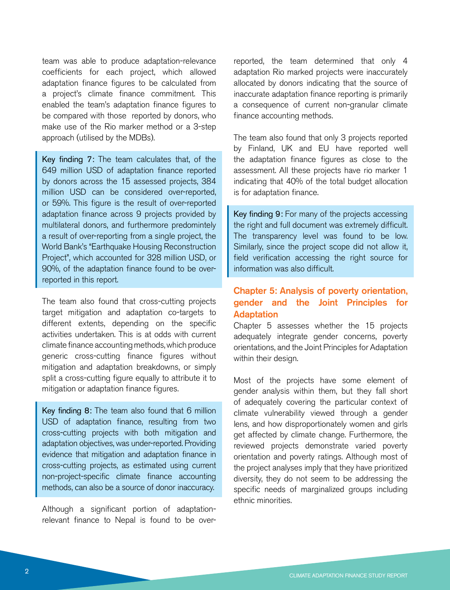team was able to produce adaptation-relevance coefficients for each project, which allowed adaptation finance figures to be calculated from a project's climate finance commitment. This enabled the team's adaptation finance figures to be compared with those reported by donors, who make use of the Rio marker method or a 3-step approach (utilised by the MDBs).

Key finding 7: The team calculates that, of the 649 million USD of adaptation finance reported by donors across the 15 assessed projects, 384 million USD can be considered over-reported, or 59%. This figure is the result of over-reported adaptation finance across 9 projects provided by multilateral donors, and furthermore predomintely a result of over-reporting from a single project, the World Bank's "Earthquake Housing Reconstruction Project", which accounted for 328 million USD, or 90%, of the adaptation finance found to be overreported in this report.

The team also found that cross-cutting projects target mitigation and adaptation co-targets to different extents, depending on the specific activities undertaken. This is at odds with current climate finance accounting methods, which produce generic cross-cutting finance figures without mitigation and adaptation breakdowns, or simply split a cross-cutting figure equally to attribute it to mitigation or adaptation finance figures.

Key finding 8: The team also found that 6 million USD of adaptation finance, resulting from two cross-cutting projects with both mitigation and adaptation objectives, was under-reported. Providing evidence that mitigation and adaptation finance in cross-cutting projects, as estimated using current non-project-specific climate finance accounting methods, can also be a source of donor inaccuracy.

Although a significant portion of adaptationrelevant finance to Nepal is found to be overreported, the team determined that only 4 adaptation Rio marked projects were inaccurately allocated by donors indicating that the source of inaccurate adaptation finance reporting is primarily a consequence of current non-granular climate finance accounting methods.

The team also found that only 3 projects reported by Finland, UK and EU have reported well the adaptation finance figures as close to the assessment. All these projects have rio marker 1 indicating that 40% of the total budget allocation is for adaptation finance.

Key finding 9: For many of the projects accessing the right and full document was extremely difficult. The transparency level was found to be low. Similarly, since the project scope did not allow it, field verification accessing the right source for information was also difficult.

#### Chapter 5: Analysis of poverty orientation, gender and the Joint Principles for Adaptation

Chapter 5 assesses whether the 15 projects adequately integrate gender concerns, poverty orientations, and the Joint Principles for Adaptation within their design.

Most of the projects have some element of gender analysis within them, but they fall short of adequately covering the particular context of climate vulnerability viewed through a gender lens, and how disproportionately women and girls get affected by climate change. Furthermore, the reviewed projects demonstrate varied poverty orientation and poverty ratings. Although most of the project analyses imply that they have prioritized diversity, they do not seem to be addressing the specific needs of marginalized groups including ethnic minorities.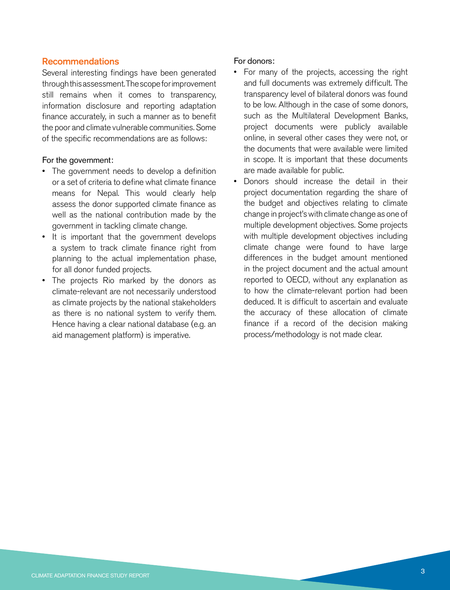#### Recommendations

Several interesting findings have been generated through this assessment. The scope for improvement still remains when it comes to transparency, information disclosure and reporting adaptation finance accurately, in such a manner as to benefit the poor and climate vulnerable communities. Some of the specific recommendations are as follows:

#### For the government:

- The government needs to develop a definition or a set of criteria to define what climate finance means for Nepal. This would clearly help assess the donor supported climate finance as well as the national contribution made by the government in tackling climate change.
- It is important that the government develops a system to track climate finance right from planning to the actual implementation phase, for all donor funded projects.
- The projects Rio marked by the donors as climate-relevant are not necessarily understood as climate projects by the national stakeholders as there is no national system to verify them. Hence having a clear national database (e.g. an aid management platform) is imperative.

#### For donors:

- For many of the projects, accessing the right and full documents was extremely difficult. The transparency level of bilateral donors was found to be low. Although in the case of some donors, such as the Multilateral Development Banks, project documents were publicly available online, in several other cases they were not, or the documents that were available were limited in scope. It is important that these documents are made available for public.
- Donors should increase the detail in their project documentation regarding the share of the budget and objectives relating to climate change in project's with climate change as one of multiple development objectives. Some projects with multiple development objectives including climate change were found to have large differences in the budget amount mentioned in the project document and the actual amount reported to OECD, without any explanation as to how the climate-relevant portion had been deduced. It is difficult to ascertain and evaluate the accuracy of these allocation of climate finance if a record of the decision making process/methodology is not made clear.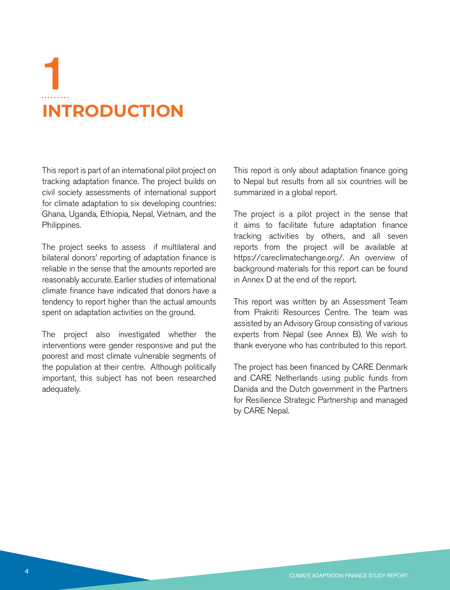# **INTRODUCTION** 1

This report is part of an international pilot project on tracking adaptation finance. The project builds on civil society assessments of international support for climate adaptation to six developing countries: Ghana, Uganda, Ethiopia, Nepal, Vietnam, and the Philippines.

The project seeks to assess if multilateral and bilateral donors' reporting of adaptation finance is reliable in the sense that the amounts reported are reasonably accurate. Earlier studies of international climate finance have indicated that donors have a tendency to report higher than the actual amounts spent on adaptation activities on the ground.

The project also investigated whether the interventions were gender responsive and put the poorest and most climate vulnerable segments of the population at their centre. Although politically important, this subject has not been researched adequately.

This report is only about adaptation finance going to Nepal but results from all six countries will be summarized in a global report.

The project is a pilot project in the sense that it aims to facilitate future adaptation finance tracking activities by others, and all seven reports from the project will be available at https://careclimatechange.org/. An overview of background materials for this report can be found in Annex D at the end of the report.

This report was written by an Assessment Team from Prakriti Resources Centre. The team was assisted by an Advisory Group consisting of various experts from Nepal (see Annex B). We wish to thank everyone who has contributed to this report.

The project has been financed by CARE Denmark and CARE Netherlands using public funds from Danida and the Dutch government in the Partners for Resilience Strategic Partnership and managed by CARE Nepal.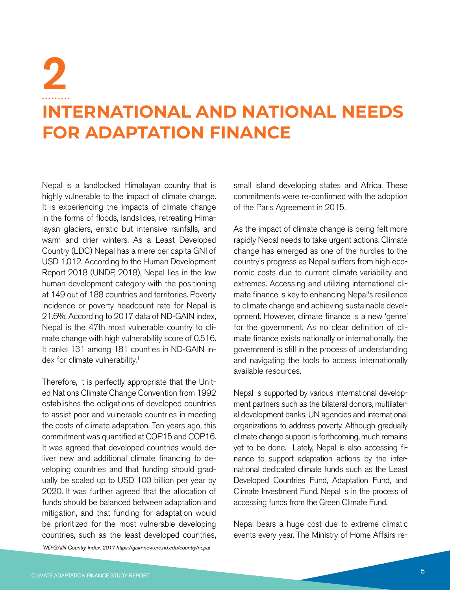## **INTERNATIONAL AND NATIONAL NEEDS FOR ADAPTATION FINANCE** 2

Nepal is a landlocked Himalayan country that is highly vulnerable to the impact of climate change. It is experiencing the impacts of climate change in the forms of floods, landslides, retreating Himalayan glaciers, erratic but intensive rainfalls, and warm and drier winters. As a Least Developed Country (LDC) Nepal has a mere per capita GNI of USD 1,012. According to the Human Development Report 2018 (UNDP, 2018), Nepal lies in the low human development category with the positioning at 149 out of 188 countries and territories. Poverty incidence or poverty headcount rate for Nepal is 21.6%. According to 2017 data of ND-GAIN index, Nepal is the 47th most vulnerable country to climate change with high vulnerability score of 0.516. It ranks 131 among 181 counties in ND-GAIN index for climate vulnerability.<sup>1</sup>

Therefore, it is perfectly appropriate that the United Nations Climate Change Convention from 1992 establishes the obligations of developed countries to assist poor and vulnerable countries in meeting the costs of climate adaptation. Ten years ago, this commitment was quantified at COP15 and COP16. It was agreed that developed countries would deliver new and additional climate financing to developing countries and that funding should gradually be scaled up to USD 100 billion per year by 2020. It was further agreed that the allocation of funds should be balanced between adaptation and mitigation, and that funding for adaptation would be prioritized for the most vulnerable developing countries, such as the least developed countries,

small island developing states and Africa. These commitments were re-confirmed with the adoption of the Paris Agreement in 2015.

As the impact of climate change is being felt more rapidly Nepal needs to take urgent actions. Climate change has emerged as one of the hurdles to the country's progress as Nepal suffers from high economic costs due to current climate variability and extremes. Accessing and utilizing international climate finance is key to enhancing Nepal's resilience to climate change and achieving sustainable development. However, climate finance is a new 'genre' for the government. As no clear definition of climate finance exists nationally or internationally, the government is still in the process of understanding and navigating the tools to access internationally available resources.

Nepal is supported by various international development partners such as the bilateral donors, multilateral development banks, UN agencies and international organizations to address poverty. Although gradually climate change support is forthcoming, much remains yet to be done. Lately, Nepal is also accessing finance to support adaptation actions by the international dedicated climate funds such as the Least Developed Countries Fund, Adaptation Fund, and Climate Investment Fund. Nepal is in the process of accessing funds from the Green Climate Fund.

Nepal bears a huge cost due to extreme climatic events every year. The Ministry of Home Affairs re-

*1 ND-GAIN Country Index, 2017 https://gain-new.crc.nd.edu/country/nepal*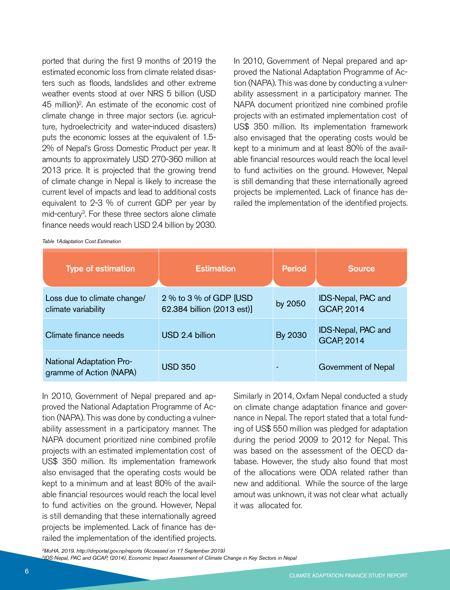ported that during the first 9 months of 2019 the estimated economic loss from climate related disasters such as floods, landslides and other extreme weather events stood at over NRS 5 billion (USD 45 million)2 . An estimate of the economic cost of climate change in three major sectors (i.e. agriculture, hydroelectricity and water-induced disasters) puts the economic losses at the equivalent of 1.5- 2% of Nepal's Gross Domestic Product per year. It amounts to approximately USD 270-360 million at 2013 price. It is projected that the growing trend of climate change in Nepal is likely to increase the current level of impacts and lead to additional costs equivalent to 2-3 % of current GDP per year by mid-century<sup>3</sup>. For these three sectors alone climate finance needs would reach USD 2.4 billion by 2030.

In 2010, Government of Nepal prepared and approved the National Adaptation Programme of Action (NAPA). This was done by conducting a vulnerability assessment in a participatory manner. The NAPA document prioritized nine combined profile projects with an estimated implementation cost of US\$ 350 million. Its implementation framework also envisaged that the operating costs would be kept to a minimum and at least 80% of the available financial resources would reach the local level to fund activities on the ground. However, Nepal is still demanding that these internationally agreed projects be implemented. Lack of finance has derailed the implementation of the identified projects.

*Table 1Adaptation Cost Estimation*

| <b>Type of estimation</b>                                  | <b>Estimation</b>                                     | <b>Period</b> | <b>Source</b>                           |
|------------------------------------------------------------|-------------------------------------------------------|---------------|-----------------------------------------|
| Loss due to climate change/<br>climate variability         | 2 % to 3 % of GDP [USD]<br>62.384 billion (2013 est)] | by 2050       | IDS-Nepal, PAC and<br><b>GCAP, 2014</b> |
| Climate finance needs                                      | USD 2.4 billion                                       | By 2030       | IDS-Nepal, PAC and<br><b>GCAP, 2014</b> |
| <b>National Adaptation Pro-</b><br>gramme of Action (NAPA) | <b>USD 350</b>                                        |               | Government of Nepal                     |

In 2010, Government of Nepal prepared and approved the National Adaptation Programme of Action (NAPA). This was done by conducting a vulnerability assessment in a participatory manner. The NAPA document prioritized nine combined profile projects with an estimated implementation cost of US\$ 350 million. Its implementation framework also envisaged that the operating costs would be kept to a minimum and at least 80% of the available financial resources would reach the local level to fund activities on the ground. However, Nepal is still demanding that these internationally agreed projects be implemented. Lack of finance has derailed the implementation of the identified projects.

Similarly in 2014, Oxfam Nepal conducted a study on climate change adaptation finance and governance in Nepal. The report stated that a total funding of US\$ 550 million was pledged for adaptation during the period 2009 to 2012 for Nepal. This was based on the assessment of the OECD database. However, the study also found that most of the allocations were ODA related rather than new and additional. While the source of the large amout was unknown, it was not clear what actually it was allocated for.

*2 MoHA. 2019. http://drrportal.gov.np/reports (Accessed on 17 September 2019) 3 IDS-Nepal, PAC and GCAP, (2014), Economic Impact Assessment of Climate Change in Key Sectors in Nepal*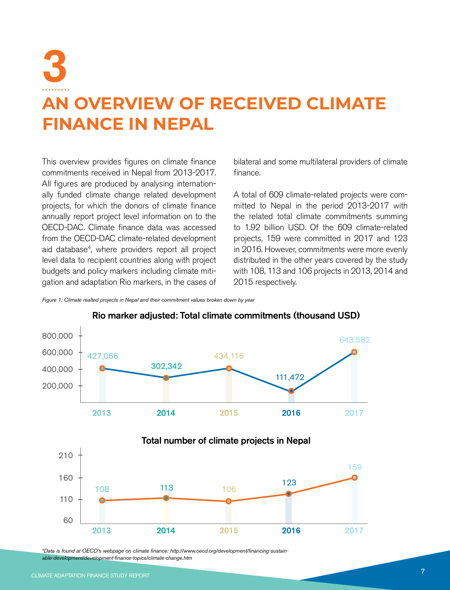## 3 **AN OVERVIEW OF RECEIVED CLIMATE FINANCE IN NEPAL**

This overview provides figures on climate finance commitments received in Nepal from 2013-2017. All figures are produced by analysing internationally funded climate change related development projects, for which the donors of climate finance annually report project level information on to the OECD-DAC. Climate finance data was accessed from the OECD-DAC climate-related development aid database4 , where providers report all project level data to recipient countries along with project budgets and policy markers including climate mitigation and adaptation Rio markers, in the cases of

bilateral and some multilateral providers of climate finance.

A total of 609 climate-related projects were committed to Nepal in the period 2013-2017 with the related total climate commitments summing to 1.92 billion USD. Of the 609 climate-related projects, 159 were committed in 2017 and 123 in 2016. However, commitments were more evenly distributed in the other years covered by the study with 108, 113 and 106 projects in 2013, 2014 and 2015 respectively.

*Figure 1: Climate realted projects in Nepal and their commitment values broken down by year*



Rio marker adjusted: Total climate commitments (thousand USD)

*4 Data is found at OECD's webpage on climate finance: http://www.oecd.org/development/financing-sustainable-development/development-finance-topics/climate-change.htm*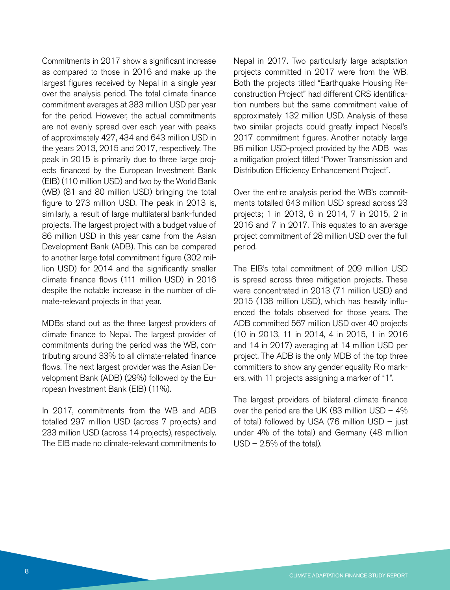Commitments in 2017 show a significant increase as compared to those in 2016 and make up the largest figures received by Nepal in a single year over the analysis period. The total climate finance commitment averages at 383 million USD per year for the period. However, the actual commitments are not evenly spread over each year with peaks of approximately 427, 434 and 643 million USD in the years 2013, 2015 and 2017, respectively. The peak in 2015 is primarily due to three large projects financed by the European Investment Bank (EIB) (110 million USD) and two by the World Bank (WB) (81 and 80 million USD) bringing the total figure to 273 million USD. The peak in 2013 is, similarly, a result of large multilateral bank-funded projects. The largest project with a budget value of 86 million USD in this year came from the Asian Development Bank (ADB). This can be compared to another large total commitment figure (302 million USD) for 2014 and the significantly smaller climate finance flows (111 million USD) in 2016 despite the notable increase in the number of climate-relevant projects in that year.

MDBs stand out as the three largest providers of climate finance to Nepal. The largest provider of commitments during the period was the WB, contributing around 33% to all climate-related finance flows. The next largest provider was the Asian Development Bank (ADB) (29%) followed by the European Investment Bank (EIB) (11%).

In 2017, commitments from the WB and ADB totalled 297 million USD (across 7 projects) and 233 million USD (across 14 projects), respectively. The EIB made no climate-relevant commitments to Nepal in 2017. Two particularly large adaptation projects committed in 2017 were from the WB. Both the projects titled "Earthquake Housing Reconstruction Project" had different CRS identification numbers but the same commitment value of approximately 132 million USD. Analysis of these two similar projects could greatly impact Nepal's 2017 commitment figures. Another notably large 96 million USD-project provided by the ADB was a mitigation project titled "Power Transmission and Distribution Efficiency Enhancement Project".

Over the entire analysis period the WB's commitments totalled 643 million USD spread across 23 projects; 1 in 2013, 6 in 2014, 7 in 2015, 2 in 2016 and 7 in 2017. This equates to an average project commitment of 28 million USD over the full period.

The EIB's total commitment of 209 million USD is spread across three mitigation projects. These were concentrated in 2013 (71 million USD) and 2015 (138 million USD), which has heavily influenced the totals observed for those years. The ADB committed 567 million USD over 40 projects (10 in 2013, 11 in 2014, 4 in 2015, 1 in 2016 and 14 in 2017) averaging at 14 million USD per project. The ADB is the only MDB of the top three committers to show any gender equality Rio markers, with 11 projects assigning a marker of "1".

The largest providers of bilateral climate finance over the period are the UK (83 million USD – 4% of total) followed by USA (76 million USD – just under 4% of the total) and Germany (48 million  $USD - 2.5%$  of the total).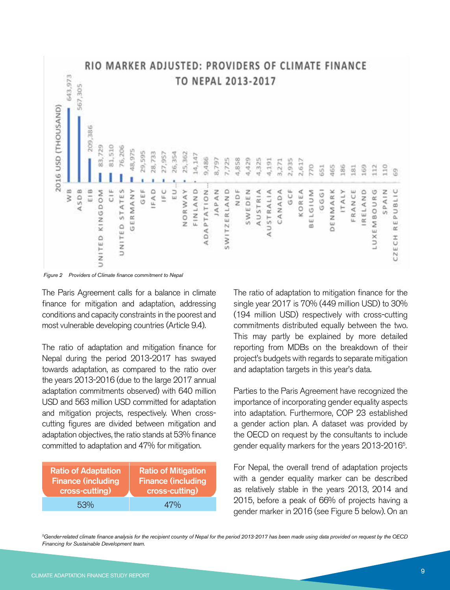

*Figure 2 Providers of Climate finance commitment to Nepal*

The Paris Agreement calls for a balance in climate finance for mitigation and adaptation, addressing conditions and capacity constraints in the poorest and most vulnerable developing countries (Article 9.4).

The ratio of adaptation and mitigation finance for Nepal during the period 2013-2017 has swayed towards adaptation, as compared to the ratio over the years 2013-2016 (due to the large 2017 annual adaptation commitments observed) with 640 million USD and 563 million USD committed for adaptation and mitigation projects, respectively. When crosscutting figures are divided between mitigation and adaptation objectives, the ratio stands at 53% finance committed to adaptation and 47% for mitigation.

| <b>Ratio of Adaptation</b> | <b>Ratio of Mitigation</b> |
|----------------------------|----------------------------|
| <b>Finance (including</b>  | <b>Finance (including</b>  |
| cross-cutting)             | cross-cutting)             |
| 53%                        | 47%                        |

The ratio of adaptation to mitigation finance for the single year 2017 is 70% (449 million USD) to 30% (194 million USD) respectively with cross-cutting commitments distributed equally between the two. This may partly be explained by more detailed reporting from MDBs on the breakdown of their project's budgets with regards to separate mitigation and adaptation targets in this year's data.

Parties to the Paris Agreement have recognized the importance of incorporating gender equality aspects into adaptation. Furthermore, COP 23 established a gender action plan. A dataset was provided by the OECD on request by the consultants to include gender equality markers for the years 2013-2016<sup>5</sup>. .

For Nepal, the overall trend of adaptation projects with a gender equality marker can be described as relatively stable in the years 2013, 2014 and 2015, before a peak of 66% of projects having a gender marker in 2016 (see Figure 5 below). On an

*5 Gender-related climate finance analysis for the recipient country of Nepal for the period 2013-2017 has been made using data provided on request by the OECD Financing for Sustainable Development team.*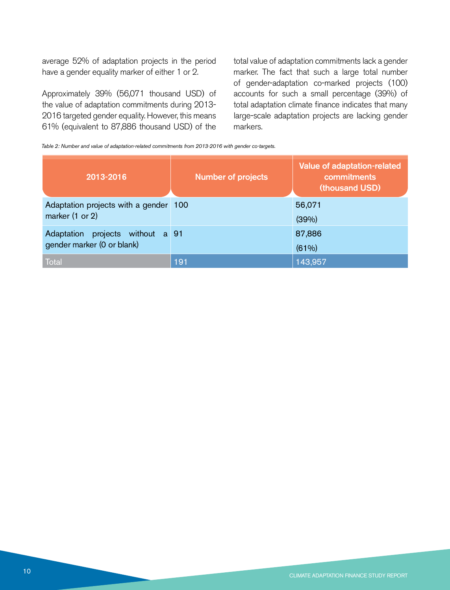average 52% of adaptation projects in the period have a gender equality marker of either 1 or 2.

Approximately 39% (56,071 thousand USD) of the value of adaptation commitments during 2013- 2016 targeted gender equality. However, this means 61% (equivalent to 87,886 thousand USD) of the

total value of adaptation commitments lack a gender marker. The fact that such a large total number of gender-adaptation co-marked projects (100) accounts for such a small percentage (39%) of total adaptation climate finance indicates that many large-scale adaptation projects are lacking gender markers.

*Table 2: Number and value of adaptation-related commitments from 2013-2016 with gender co-targets.*

| 2013-2016                                                         | <b>Number of projects</b> | Value of adaptation-related<br>commitments<br>(thousand USD) |
|-------------------------------------------------------------------|---------------------------|--------------------------------------------------------------|
| Adaptation projects with a gender 100<br>marker (1 or 2)          |                           | 56,071<br>(39%)                                              |
| projects without a 91<br>Adaptation<br>gender marker (0 or blank) |                           | 87,886<br>(61%)                                              |
| Total                                                             | 191                       | 143,957                                                      |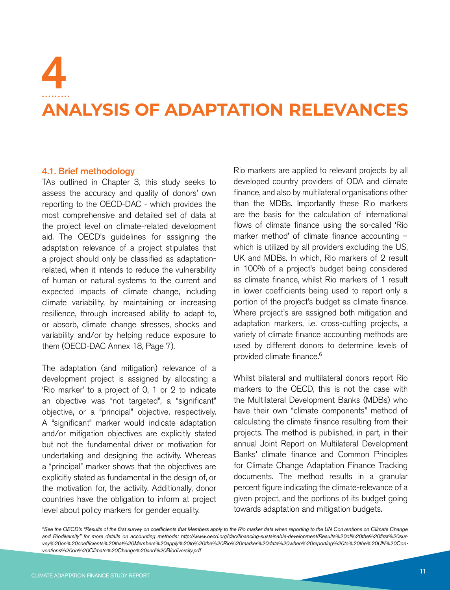# 4

## **ANALYSIS OF ADAPTATION RELEVANCES**

#### 4.1. Brief methodology

TAs outlined in Chapter 3, this study seeks to assess the accuracy and quality of donors' own reporting to the OECD-DAC - which provides the most comprehensive and detailed set of data at the project level on climate-related development aid. The OECD's guidelines for assigning the adaptation relevance of a project stipulates that a project should only be classified as adaptationrelated, when it intends to reduce the vulnerability of human or natural systems to the current and expected impacts of climate change, including climate variability, by maintaining or increasing resilience, through increased ability to adapt to, or absorb, climate change stresses, shocks and variability and/or by helping reduce exposure to them (OECD-DAC Annex 18, Page 7).

The adaptation (and mitigation) relevance of a development project is assigned by allocating a 'Rio marker' to a project of 0, 1 or 2 to indicate an objective was "not targeted", a "significant" objective, or a "principal" objective, respectively. A "significant" marker would indicate adaptation and/or mitigation objectives are explicitly stated but not the fundamental driver or motivation for undertaking and designing the activity. Whereas a "principal" marker shows that the objectives are explicitly stated as fundamental in the design of, or the motivation for, the activity. Additionally, donor countries have the obligation to inform at project level about policy markers for gender equality.

Rio markers are applied to relevant projects by all developed country providers of ODA and climate finance, and also by multilateral organisations other than the MDBs. Importantly these Rio markers are the basis for the calculation of international flows of climate finance using the so-called 'Rio marker method' of climate finance accounting – which is utilized by all providers excluding the US, UK and MDBs. In which, Rio markers of 2 result in 100% of a project's budget being considered as climate finance, whilst Rio markers of 1 result in lower coefficients being used to report only a portion of the project's budget as climate finance. Where project's are assigned both mitigation and adaptation markers, i.e. cross-cutting projects, a variety of climate finance accounting methods are used by different donors to determine levels of provided climate finance.<sup>6</sup>

Whilst bilateral and multilateral donors report Rio markers to the OECD, this is not the case with the Multilateral Development Banks (MDBs) who have their own "climate components" method of calculating the climate finance resulting from their projects. The method is published, in part, in their annual Joint Report on Multilateral Development Banks' climate finance and Common Principles for Climate Change Adaptation Finance Tracking documents. The method results in a granular percent figure indicating the climate-relevance of a given project, and the portions of its budget going towards adaptation and mitigation budgets.

*6 See the OECD's "Results of the first survey on coefficients that Members apply to the Rio marker data when reporting to the UN Conventions on Climate Change and Biodiversity" for more details on accounting methods: http://www.oecd.org/dac/financing-sustainable-development/Results%20of%20the%20first%20survey%20on%20coefficients%20that%20Members%20apply%20to%20the%20Rio%20marker%20data%20when%20reporting%20to%20the%20UN%20Conventions%20on%20Climate%20Change%20and%20Biodiversity.pdf*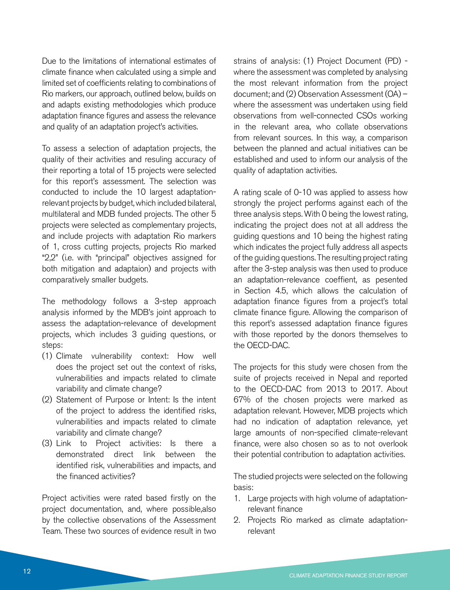Due to the limitations of international estimates of climate finance when calculated using a simple and limited set of coefficients relating to combinations of Rio markers, our approach, outlined below, builds on and adapts existing methodologies which produce adaptation finance figures and assess the relevance and quality of an adaptation project's activities.

To assess a selection of adaptation projects, the quality of their activities and resuling accuracy of their reporting a total of 15 projects were selected for this report's assessment. The selection was conducted to include the 10 largest adaptationrelevant projects by budget, which included bilateral, multilateral and MDB funded projects. The other 5 projects were selected as complementary projects, and include projects with adaptation Rio markers of 1, cross cutting projects, projects Rio marked "2,2" (i.e. with "principal" objectives assigned for both mitigation and adaptaion) and projects with comparatively smaller budgets.

The methodology follows a 3-step approach analysis informed by the MDB's joint approach to assess the adaptation-relevance of development projects, which includes 3 guiding questions, or steps:

- (1) Climate vulnerability context: How well does the project set out the context of risks, vulnerabilities and impacts related to climate variability and climate change?
- (2) Statement of Purpose or Intent: Is the intent of the project to address the identified risks, vulnerabilities and impacts related to climate variability and climate change?
- (3) Link to Project activities: Is there a demonstrated direct link between the identified risk, vulnerabilities and impacts, and the financed activities?

Project activities were rated based firstly on the project documentation, and, where possible,also by the collective observations of the Assessment Team. These two sources of evidence result in two

strains of analysis: (1) Project Document (PD) where the assessment was completed by analysing the most relevant information from the project document; and (2) Observation Assessment (OA) – where the assessment was undertaken using field observations from well-connected CSOs working in the relevant area, who collate observations from relevant sources. In this way, a comparison between the planned and actual initiatives can be established and used to inform our analysis of the quality of adaptation activities.

A rating scale of 0-10 was applied to assess how strongly the project performs against each of the three analysis steps. With 0 being the lowest rating, indicating the project does not at all address the guiding questions and 10 being the highest rating which indicates the project fully address all aspects of the guiding questions. The resulting project rating after the 3-step analysis was then used to produce an adaptation-relevance coeffient, as pesented in Section 4.5, which allows the calculation of adaptation finance figures from a project's total climate finance figure. Allowing the comparison of this report's assessed adaptation finance figures with those reported by the donors themselves to the OECD-DAC.

The projects for this study were chosen from the suite of projects received in Nepal and reported to the OECD-DAC from 2013 to 2017. About 67% of the chosen projects were marked as adaptation relevant. However, MDB projects which had no indication of adaptation relevance, yet large amounts of non-specified climate-relevant finance, were also chosen so as to not overlook their potential contribution to adaptation activities.

The studied projects were selected on the following basis:

- 1. Large projects with high volume of adaptationrelevant finance
- 2. Projects Rio marked as climate adaptationrelevant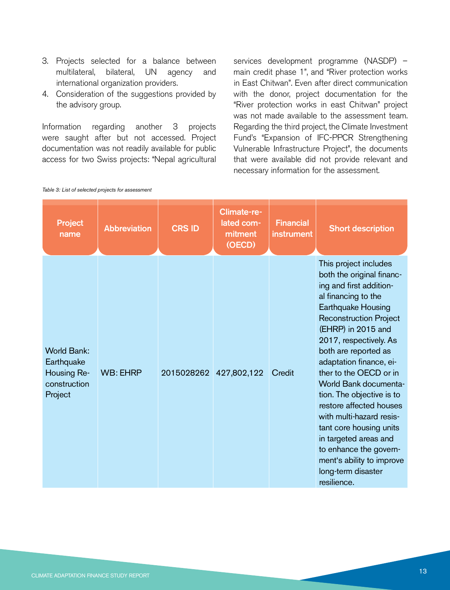- 3. Projects selected for a balance between multilateral, bilateral, UN agency and international organization providers.
- 4. Consideration of the suggestions provided by the advisory group.

Information regarding another 3 projects were saught after but not accessed. Project documentation was not readily available for public access for two Swiss projects: "Nepal agricultural services development programme (NASDP) – main credit phase 1", and "River protection works in East Chitwan". Even after direct communication with the donor, project documentation for the "River protection works in east Chitwan" project was not made available to the assessment team. Regarding the third project, the Climate Investment Fund's "Expansion of IFC-PPCR Strengthening Vulnerable Infrastructure Project", the documents that were available did not provide relevant and necessary information for the assessment.

| <b>Project</b><br>name                                                     | <b>Abbreviation</b> | <b>CRS ID</b> | Climate-re-<br>lated com-<br>mitment<br>(OECD) | <b>Financial</b><br>instrument | <b>Short description</b>                                                                                                                                                                                                                                                                                                                                                                                                                                                                                                                              |
|----------------------------------------------------------------------------|---------------------|---------------|------------------------------------------------|--------------------------------|-------------------------------------------------------------------------------------------------------------------------------------------------------------------------------------------------------------------------------------------------------------------------------------------------------------------------------------------------------------------------------------------------------------------------------------------------------------------------------------------------------------------------------------------------------|
| <b>World Bank:</b><br>Earthquake<br>Housing Re-<br>construction<br>Project | <b>WB: EHRP</b>     | 2015028262    | 427,802,122                                    | Credit                         | This project includes<br>both the original financ-<br>ing and first addition-<br>al financing to the<br>Earthquake Housing<br><b>Reconstruction Project</b><br>(EHRP) in 2015 and<br>2017, respectively. As<br>both are reported as<br>adaptation finance, ei-<br>ther to the OECD or in<br>World Bank documenta-<br>tion. The objective is to<br>restore affected houses<br>with multi-hazard resis-<br>tant core housing units<br>in targeted areas and<br>to enhance the govern-<br>ment's ability to improve<br>long-term disaster<br>resilience. |

*Table 3: List of selected projects for assessment*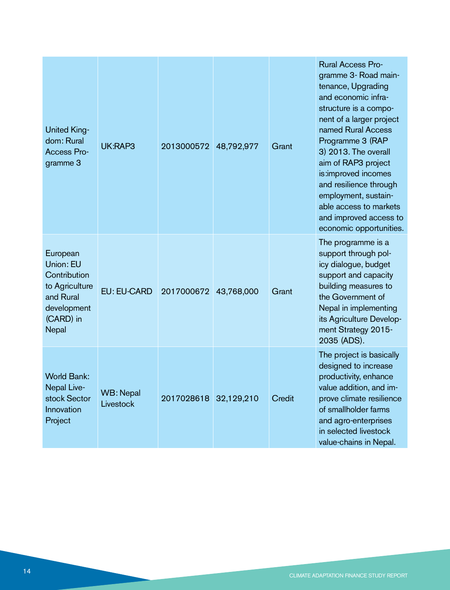| <b>United King-</b><br>dom: Rural<br><b>Access Pro-</b><br>gramme 3                                       | UK:RAP3                | 2013000572 | 48,792,977 | Grant  | <b>Rural Access Pro-</b><br>gramme 3- Road main-<br>tenance, Upgrading<br>and economic infra-<br>structure is a compo-<br>nent of a larger project<br>named Rural Access<br>Programme 3 (RAP<br>3) 2013. The overall<br>aim of RAP3 project<br>is:improved incomes<br>and resilience through<br>employment, sustain-<br>able access to markets<br>and improved access to<br>economic opportunities. |
|-----------------------------------------------------------------------------------------------------------|------------------------|------------|------------|--------|-----------------------------------------------------------------------------------------------------------------------------------------------------------------------------------------------------------------------------------------------------------------------------------------------------------------------------------------------------------------------------------------------------|
| European<br>Union: EU<br>Contribution<br>to Agriculture<br>and Rural<br>development<br>(CARD) in<br>Nepal | <b>EU: EU-CARD</b>     | 2017000672 | 43,768,000 | Grant  | The programme is a<br>support through pol-<br>icy dialogue, budget<br>support and capacity<br>building measures to<br>the Government of<br>Nepal in implementing<br>its Agriculture Develop-<br>ment Strategy 2015-<br>2035 (ADS).                                                                                                                                                                  |
| <b>World Bank:</b><br>Nepal Live-<br>stock Sector<br>Innovation<br>Project                                | WB: Nepal<br>Livestock | 2017028618 | 32,129,210 | Credit | The project is basically<br>designed to increase<br>productivity, enhance<br>value addition, and im-<br>prove climate resilience<br>of smallholder farms<br>and agro-enterprises<br>in selected livestock<br>value-chains in Nepal.                                                                                                                                                                 |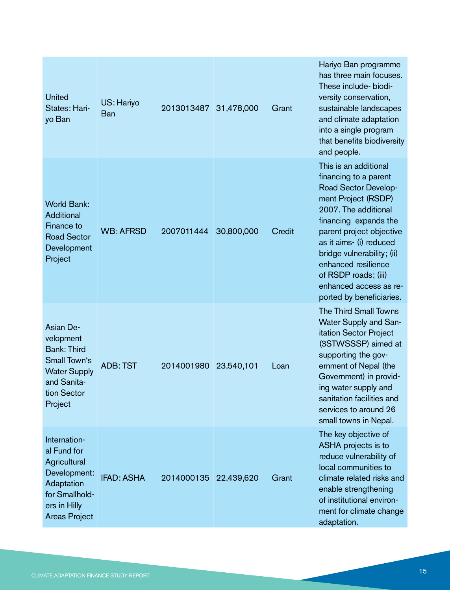| <b>United</b><br>States: Hari-<br>yo Ban                                                                                            | US: Hariyo<br>Ban | 2013013487 | 31,478,000 | Grant  | Hariyo Ban programme<br>has three main focuses.<br>These include- biodi-<br>versity conservation,<br>sustainable landscapes<br>and climate adaptation<br>into a single program<br>that benefits biodiversity<br>and people.                                                                                                              |
|-------------------------------------------------------------------------------------------------------------------------------------|-------------------|------------|------------|--------|------------------------------------------------------------------------------------------------------------------------------------------------------------------------------------------------------------------------------------------------------------------------------------------------------------------------------------------|
| <b>World Bank:</b><br><b>Additional</b><br>Finance to<br><b>Road Sector</b><br>Development<br>Project                               | <b>WB: AFRSD</b>  | 2007011444 | 30,800,000 | Credit | This is an additional<br>financing to a parent<br>Road Sector Develop-<br>ment Project (RSDP)<br>2007. The additional<br>financing expands the<br>parent project objective<br>as it aims- (i) reduced<br>bridge vulnerability; (ii)<br>enhanced resilience<br>of RSDP roads; (iii)<br>enhanced access as re-<br>ported by beneficiaries. |
| Asian De-<br>velopment<br><b>Bank: Third</b><br>Small Town's<br><b>Water Supply</b><br>and Sanita-<br>tion Sector<br>Project        | <b>ADB: TST</b>   | 2014001980 | 23,540,101 | Loan   | The Third Small Towns<br>Water Supply and San-<br>itation Sector Project<br>(3STWSSSP) aimed at<br>supporting the gov-<br>ernment of Nepal (the<br>Government) in provid-<br>ing water supply and<br>sanitation facilities and<br>services to around 26<br>small towns in Nepal.                                                         |
| Internation-<br>al Fund for<br>Agricultural<br>Development:<br>Adaptation<br>for Smallhold-<br>ers in Hilly<br><b>Areas Project</b> | <b>IFAD: ASHA</b> | 2014000135 | 22,439,620 | Grant  | The key objective of<br>ASHA projects is to<br>reduce vulnerability of<br>local communities to<br>climate related risks and<br>enable strengthening<br>of institutional environ-<br>ment for climate change<br>adaptation.                                                                                                               |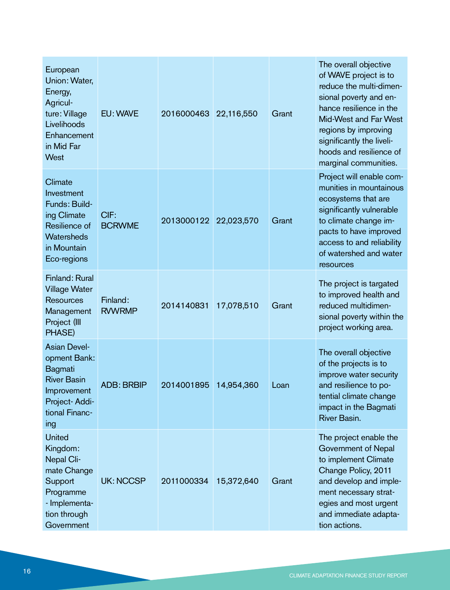| European<br>Union: Water,<br>Energy,<br>Agricul-<br>ture: Village<br>Livelihoods<br>Enhancement<br>in Mid Far<br>West         | EU: WAVE                  | 2016000463 | 22,116,550 | Grant | The overall objective<br>of WAVE project is to<br>reduce the multi-dimen-<br>sional poverty and en-<br>hance resilience in the<br>Mid-West and Far West<br>regions by improving<br>significantly the liveli-<br>hoods and resilience of<br>marginal communities. |
|-------------------------------------------------------------------------------------------------------------------------------|---------------------------|------------|------------|-------|------------------------------------------------------------------------------------------------------------------------------------------------------------------------------------------------------------------------------------------------------------------|
| Climate<br>Investment<br>Funds: Build-<br>ing Climate<br>Resilience of<br>Watersheds<br>in Mountain<br>Eco-regions            | CIF:<br><b>BCRWME</b>     | 2013000122 | 22,023,570 | Grant | Project will enable com-<br>munities in mountainous<br>ecosystems that are<br>significantly vulnerable<br>to climate change im-<br>pacts to have improved<br>access to and reliability<br>of watershed and water<br>resources                                    |
| Finland: Rural<br><b>Village Water</b><br><b>Resources</b><br>Management<br>Project (III<br>PHASE)                            | Finland:<br><b>RVWRMP</b> | 2014140831 | 17,078,510 | Grant | The project is targated<br>to improved health and<br>reduced multidimen-<br>sional poverty within the<br>project working area.                                                                                                                                   |
| <b>Asian Devel-</b><br>opment Bank:<br>Bagmati<br><b>River Basin</b><br>Improvement<br>Project-Addi-<br>tional Financ-<br>ing | <b>ADB: BRBIP</b>         | 2014001895 | 14,954,360 | Loan  | The overall objective<br>of the projects is to<br>improve water security<br>and resilience to po-<br>tential climate change<br>impact in the Bagmati<br>River Basin.                                                                                             |
| <b>United</b><br>Kingdom:<br>Nepal Cli-<br>mate Change<br>Support<br>Programme<br>- Implementa-<br>tion through<br>Government | <b>UK: NCCSP</b>          | 2011000334 | 15,372,640 | Grant | The project enable the<br>Government of Nepal<br>to implement Climate<br>Change Policy, 2011<br>and develop and imple-<br>ment necessary strat-<br>egies and most urgent<br>and immediate adapta-<br>tion actions.                                               |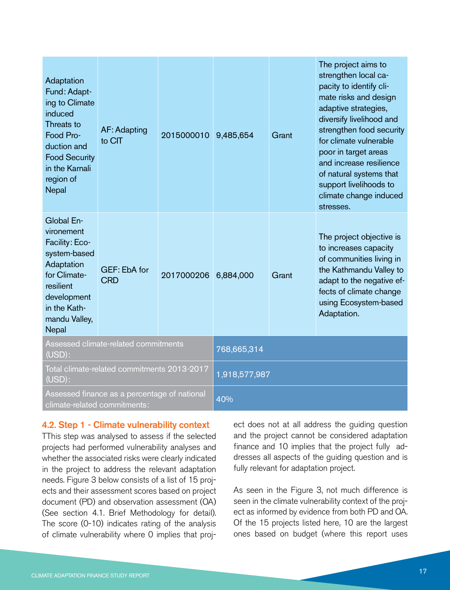| Adaptation<br>Fund: Adapt-<br>ing to Climate<br>induced<br>Threats to<br>Food Pro-<br>duction and<br><b>Food Security</b><br>in the Karnali<br>region of<br>Nepal | <b>AF: Adapting</b><br>to CIT | 2015000010    | 9,485,654 | Grant | The project aims to<br>strengthen local ca-<br>pacity to identify cli-<br>mate risks and design<br>adaptive strategies,<br>diversify livelihood and<br>strengthen food security<br>for climate vulnerable<br>poor in target areas<br>and increase resilience<br>of natural systems that<br>support livelihoods to<br>climate change induced |
|-------------------------------------------------------------------------------------------------------------------------------------------------------------------|-------------------------------|---------------|-----------|-------|---------------------------------------------------------------------------------------------------------------------------------------------------------------------------------------------------------------------------------------------------------------------------------------------------------------------------------------------|
|                                                                                                                                                                   |                               |               |           |       | stresses.                                                                                                                                                                                                                                                                                                                                   |
| Global En-<br>vironement<br>Facility: Eco-<br>system-based<br>Adaptation<br>for Climate-<br>resilient<br>development<br>in the Kath-<br>mandu Valley,<br>Nepal    | GEF: EbA for<br><b>CRD</b>    | 2017000206    | 6,884,000 | Grant | The project objective is<br>to increases capacity<br>of communities living in<br>the Kathmandu Valley to<br>adapt to the negative ef-<br>fects of climate change<br>using Ecosystem-based<br>Adaptation.                                                                                                                                    |
| Assessed climate-related commitments<br>(USD):                                                                                                                    |                               | 768,665,314   |           |       |                                                                                                                                                                                                                                                                                                                                             |
| Total climate-related commitments 2013-2017<br>(USD):                                                                                                             |                               | 1,918,577,987 |           |       |                                                                                                                                                                                                                                                                                                                                             |
| Assessed finance as a percentage of national<br>climate-related commitments:                                                                                      |                               | 40%           |           |       |                                                                                                                                                                                                                                                                                                                                             |

#### 4.2. Step 1 - Climate vulnerability context

TThis step was analysed to assess if the selected projects had performed vulnerability analyses and whether the associated risks were clearly indicated in the project to address the relevant adaptation needs. Figure 3 below consists of a list of 15 projects and their assessment scores based on project document (PD) and observation assessment (OA) (See section 4.1. Brief Methodology for detail). The score (0-10) indicates rating of the analysis of climate vulnerability where 0 implies that project does not at all address the guiding question and the project cannot be considered adaptation finance and 10 implies that the project fully addresses all aspects of the guiding question and is fully relevant for adaptation project.

As seen in the Figure 3, not much difference is seen in the climate vulnerability context of the project as informed by evidence from both PD and OA. Of the 15 projects listed here, 10 are the largest ones based on budget (where this report uses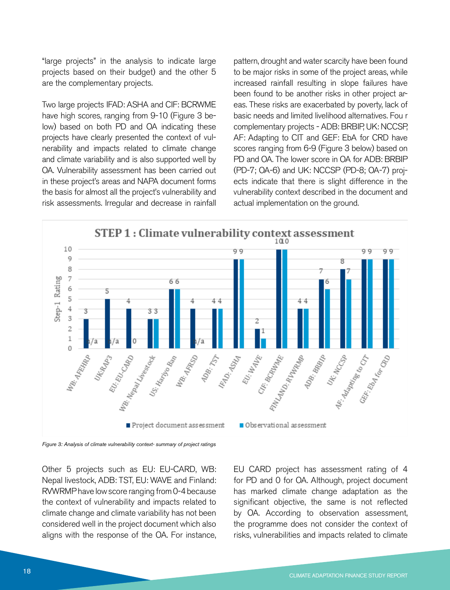"large projects" in the analysis to indicate large projects based on their budget) and the other 5 are the complementary projects.

Two large projects IFAD: ASHA and CIF: BCRWME have high scores, ranging from 9-10 (Figure 3 below) based on both PD and OA indicating these projects have clearly presented the context of vulnerability and impacts related to climate change and climate variability and is also supported well by OA. Vulnerability assessment has been carried out in these project's areas and NAPA document forms the basis for almost all the project's vulnerability and risk assessments. Irregular and decrease in rainfall

pattern, drought and water scarcity have been found to be major risks in some of the project areas, while increased rainfall resulting in slope failures have been found to be another risks in other project areas. These risks are exacerbated by poverty, lack of basic needs and limited livelihood alternatives. Fou r complementary projects - ADB: BRBIP, UK: NCCSP, AF: Adapting to CIT and GEF: EbA for CRD have scores ranging from 6-9 (Figure 3 below) based on PD and OA. The lower score in OA for ADB: BRBIP (PD-7; OA-6) and UK: NCCSP (PD-8; OA-7) projects indicate that there is slight difference in the vulnerability context described in the document and actual implementation on the ground.



*Figure 3: Analysis of climate vulnerability context- summary of project ratings*

Other 5 projects such as EU: EU-CARD, WB: Nepal livestock, ADB: TST, EU: WAVE and Finland: RVWRMP have low score ranging from 0-4 because the context of vulnerability and impacts related to climate change and climate variability has not been considered well in the project document which also aligns with the response of the OA. For instance,

EU CARD project has assessment rating of 4 for PD and 0 for OA. Although, project document has marked climate change adaptation as the significant objective, the same is not reflected by OA. According to observation assessment, the programme does not consider the context of risks, vulnerabilities and impacts related to climate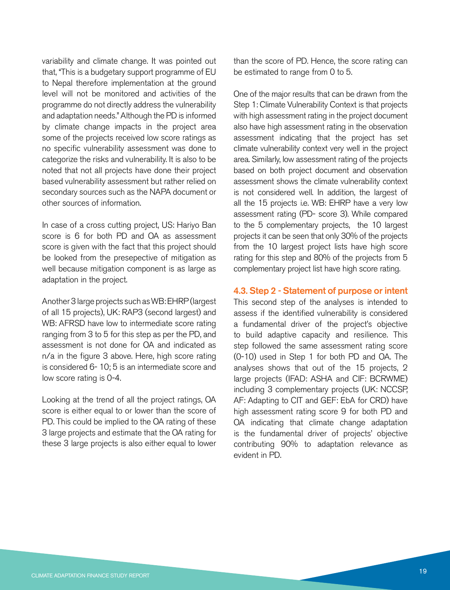variability and climate change. It was pointed out that, "This is a budgetary support programme of EU to Nepal therefore implementation at the ground level will not be monitored and activities of the programme do not directly address the vulnerability and adaptation needs." Although the PD is informed by climate change impacts in the project area some of the projects received low score ratings as no specific vulnerability assessment was done to categorize the risks and vulnerability. It is also to be noted that not all projects have done their project based vulnerability assessment but rather relied on secondary sources such as the NAPA document or other sources of information.

In case of a cross cutting project, US: Hariyo Ban score is 6 for both PD and OA as assessment score is given with the fact that this project should be looked from the presepective of mitigation as well because mitigation component is as large as adaptation in the project.

Another 3 large projects such as WB: EHRP (largest of all 15 projects), UK: RAP3 (second largest) and WB: AFRSD have low to intermediate score rating ranging from 3 to 5 for this step as per the PD, and assessment is not done for OA and indicated as n/a in the figure 3 above. Here, high score rating is considered 6- 10; 5 is an intermediate score and low score rating is 0-4.

Looking at the trend of all the project ratings, OA score is either equal to or lower than the score of PD. This could be implied to the OA rating of these 3 large projects and estimate that the OA rating for these 3 large projects is also either equal to lower than the score of PD. Hence, the score rating can be estimated to range from 0 to 5.

One of the major results that can be drawn from the Step 1: Climate Vulnerability Context is that projects with high assessment rating in the project document also have high assessment rating in the observation assessment indicating that the project has set climate vulnerability context very well in the project area. Similarly, low assessment rating of the projects based on both project document and observation assessment shows the climate vulnerability context is not considered well. In addition, the largest of all the 15 projects i.e. WB: EHRP have a very low assessment rating (PD- score 3). While compared to the 5 complementary projects, the 10 largest projects it can be seen that only 30% of the projects from the 10 largest project lists have high score rating for this step and 80% of the projects from 5 complementary project list have high score rating.

4.3. Step 2 - Statement of purpose or intent

This second step of the analyses is intended to assess if the identified vulnerability is considered a fundamental driver of the project's objective to build adaptive capacity and resilience. This step followed the same assessment rating score (0-10) used in Step 1 for both PD and OA. The analyses shows that out of the 15 projects, 2 large projects (IFAD: ASHA and CIF: BCRWME) including 3 complementary projects (UK: NCCSP, AF: Adapting to CIT and GEF: EbA for CRD) have high assessment rating score 9 for both PD and OA indicating that climate change adaptation is the fundamental driver of projects' objective contributing 90% to adaptation relevance as evident in PD.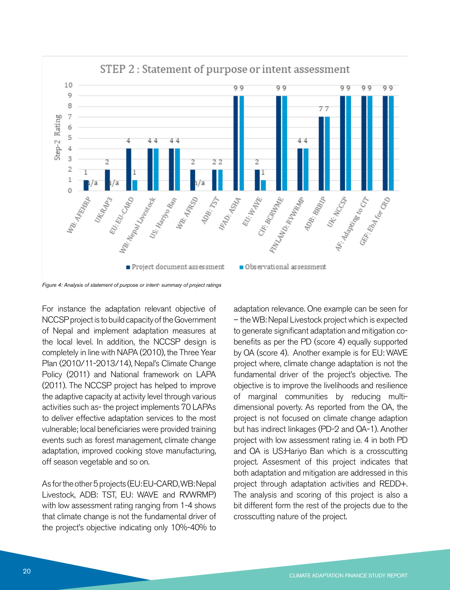

#### STEP 2: Statement of purpose or intent assessment

*Figure 4: Analysis of statement of purpose or intent- summary of project ratings*

For instance the adaptation relevant objective of NCCSP project is to build capacity of the Government of Nepal and implement adaptation measures at the local level. In addition, the NCCSP design is completely in line with NAPA (2010), the Three Year Plan (2010/11-2013/14), Nepal's Climate Change Policy (2011) and National framework on LAPA (2011). The NCCSP project has helped to improve the adaptive capacity at activity level through various activities such as- the project implements 70 LAPAs to deliver effective adaptation services to the most vulnerable; local beneficiaries were provided training events such as forest management, climate change adaptation, improved cooking stove manufacturing, off season vegetable and so on.

As for the other 5 projects (EU: EU-CARD, WB: Nepal Livestock, ADB: TST, EU: WAVE and RVWRMP) with low assessment rating ranging from 1-4 shows that climate change is not the fundamental driver of the project's objective indicating only 10%-40% to

adaptation relevance. One example can be seen for – the WB: Nepal Livestock project which is expected to generate significant adaptation and mitigation cobenefits as per the PD (score 4) equally supported by OA (score 4). Another example is for EU: WAVE project where, climate change adaptation is not the fundamental driver of the project's objective. The objective is to improve the livelihoods and resilience of marginal communities by reducing multidimensional poverty. As reported from the OA, the project is not focused on climate change adaption but has indirect linkages (PD-2 and OA-1). Another project with low assessment rating i.e. 4 in both PD and OA is US:Hariyo Ban which is a crosscutting project. Assesment of this project indicates that both adaptation and mitigation are addressed in this project through adaptation activities and REDD+. The analysis and scoring of this project is also a bit different form the rest of the projects due to the crosscutting nature of the project.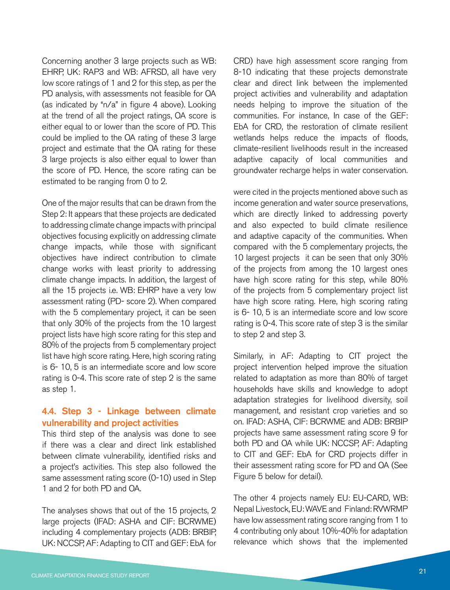Concerning another 3 large projects such as WB: EHRP, UK: RAP3 and WB: AFRSD, all have very low score ratings of 1 and 2 for this step, as per the PD analysis, with assessments not feasible for OA (as indicated by "n/a" in figure 4 above). Looking at the trend of all the project ratings, OA score is either equal to or lower than the score of PD. This could be implied to the OA rating of these 3 large project and estimate that the OA rating for these 3 large projects is also either equal to lower than the score of PD. Hence, the score rating can be estimated to be ranging from 0 to 2.

One of the major results that can be drawn from the Step 2: It appears that these projects are dedicated to addressing climate change impacts with principal objectives focusing explicitly on addressing climate change impacts, while those with significant objectives have indirect contribution to climate change works with least priority to addressing climate change impacts. In addition, the largest of all the 15 projects i.e. WB: EHRP have a very low assessment rating (PD- score 2). When compared with the 5 complementary project, it can be seen that only 30% of the projects from the 10 largest project lists have high score rating for this step and 80% of the projects from 5 complementary project list have high score rating. Here, high scoring rating is 6- 10, 5 is an intermediate score and low score rating is 0-4. This score rate of step 2 is the same as step 1.

#### 4.4. Step 3 - Linkage between climate vulnerability and project activities

This third step of the analysis was done to see if there was a clear and direct link established between climate vulnerability, identified risks and a project's activities. This step also followed the same assessment rating score (0-10) used in Step 1 and 2 for both PD and OA.

The analyses shows that out of the 15 projects, 2 large projects (IFAD: ASHA and CIF: BCRWME) including 4 complementary projects (ADB: BRBIP, UK: NCCSP, AF: Adapting to CIT and GEF: EbA for

CRD) have high assessment score ranging from 8-10 indicating that these projects demonstrate clear and direct link between the implemented project activities and vulnerability and adaptation needs helping to improve the situation of the communities. For instance, In case of the GEF: EbA for CRD, the restoration of climate resilient wetlands helps reduce the impacts of floods, climate-resilient livelihoods result in the increased adaptive capacity of local communities and groundwater recharge helps in water conservation.

were cited in the projects mentioned above such as income generation and water source preservations, which are directly linked to addressing poverty and also expected to build climate resilience and adaptive capacity of the communities. When compared with the 5 complementary projects, the 10 largest projects it can be seen that only 30% of the projects from among the 10 largest ones have high score rating for this step, while 80% of the projects from 5 complementary project list have high score rating. Here, high scoring rating is 6- 10, 5 is an intermediate score and low score rating is 0-4. This score rate of step 3 is the similar to step 2 and step 3.

Similarly, in AF: Adapting to CIT project the project intervention helped improve the situation related to adaptation as more than 80% of target households have skills and knowledge to adopt adaptation strategies for livelihood diversity, soil management, and resistant crop varieties and so on. IFAD: ASHA, CIF: BCRWME and ADB: BRBIP projects have same assessment rating score 9 for both PD and OA while UK: NCCSP, AF: Adapting to CIT and GEF: EbA for CRD projects differ in their assessment rating score for PD and OA (See Figure 5 below for detail).

The other 4 projects namely EU: EU-CARD, WB: Nepal Livestock, EU: WAVE and Finland: RVWRMP have low assessment rating score ranging from 1 to 4 contributing only about 10%-40% for adaptation relevance which shows that the implemented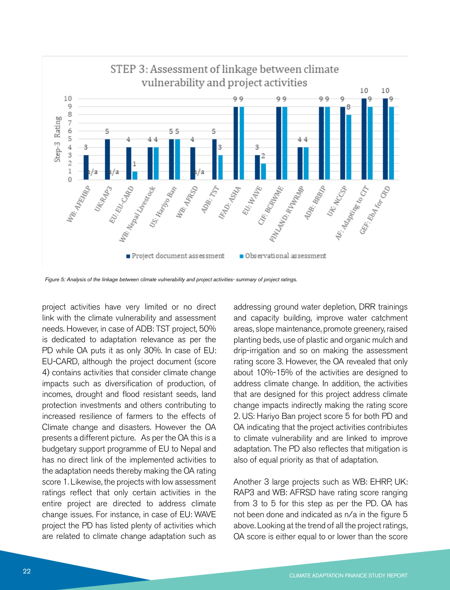

*Figure 5: Analysis of the linkage between climate vulnerability and project activities- summary of project ratings.*

project activities have very limited or no direct link with the climate vulnerability and assessment needs. However, in case of ADB: TST project, 50% is dedicated to adaptation relevance as per the PD while OA puts it as only 30%. In case of EU: EU-CARD, although the project document (score 4) contains activities that consider climate change impacts such as diversification of production, of incomes, drought and flood resistant seeds, land protection investments and others contributing to increased resilience of farmers to the effects of Climate change and disasters. However the OA presents a different picture. As per the OA this is a budgetary support programme of EU to Nepal and has no direct link of the implemented activities to the adaptation needs thereby making the OA rating score 1. Likewise, the projects with low assessment ratings reflect that only certain activities in the entire project are directed to address climate change issues. For instance, in case of EU: WAVE project the PD has listed plenty of activities which are related to climate change adaptation such as

addressing ground water depletion, DRR trainings and capacity building, improve water catchment areas, slope maintenance, promote greenery, raised planting beds, use of plastic and organic mulch and drip-irrigation and so on making the assessment rating score 3. However, the OA revealed that only about 10%-15% of the activities are designed to address climate change. In addition, the activities that are designed for this project address climate change impacts indirectly making the rating score 2. US: Hariyo Ban project score 5 for both PD and OA indicating that the project activities contribiutes to climate vulnerability and are linked to improve adaptation. The PD also reflectes that mitigation is also of equal priority as that of adaptation.

Another 3 large projects such as WB: EHRP, UK: RAP3 and WB: AFRSD have rating score ranging from 3 to 5 for this step as per the PD. OA has not been done and indicated as n/a in the figure 5 above. Looking at the trend of all the project ratings, OA score is either equal to or lower than the score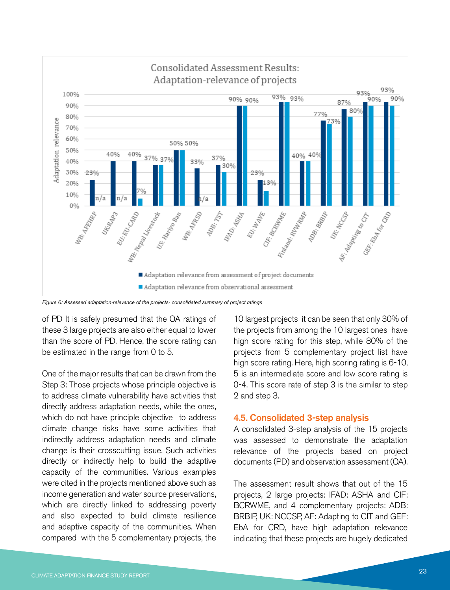

### Consolidated Assessment Results:

of PD It is safely presumed that the OA ratings of these 3 large projects are also either equal to lower than the score of PD. Hence, the score rating can be estimated in the range from 0 to 5.

One of the major results that can be drawn from the Step 3: Those projects whose principle objective is to address climate vulnerability have activities that directly address adaptation needs, while the ones, which do not have principle objective to address climate change risks have some activities that indirectly address adaptation needs and climate change is their crosscutting issue. Such activities directly or indirectly help to build the adaptive capacity of the communities. Various examples were cited in the projects mentioned above such as income generation and water source preservations, which are directly linked to addressing poverty and also expected to build climate resilience and adaptive capacity of the communities. When compared with the 5 complementary projects, the

10 largest projects it can be seen that only 30% of the projects from among the 10 largest ones have high score rating for this step, while 80% of the projects from 5 complementary project list have high score rating. Here, high scoring rating is 6-10, 5 is an intermediate score and low score rating is 0-4. This score rate of step 3 is the similar to step 2 and step 3.

#### 4.5. Consolidated 3-step analysis

A consolidated 3-step analysis of the 15 projects was assessed to demonstrate the adaptation relevance of the projects based on project documents (PD) and observation assessment (OA).

The assessment result shows that out of the 15 projects, 2 large projects: IFAD: ASHA and CIF: BCRWME, and 4 complementary projects: ADB: BRBIP, UK: NCCSP, AF: Adapting to CIT and GEF: EbA for CRD, have high adaptation relevance indicating that these projects are hugely dedicated

*Figure 6: Assessed adaptation-relevance of the projects- consolidated summary of project ratings*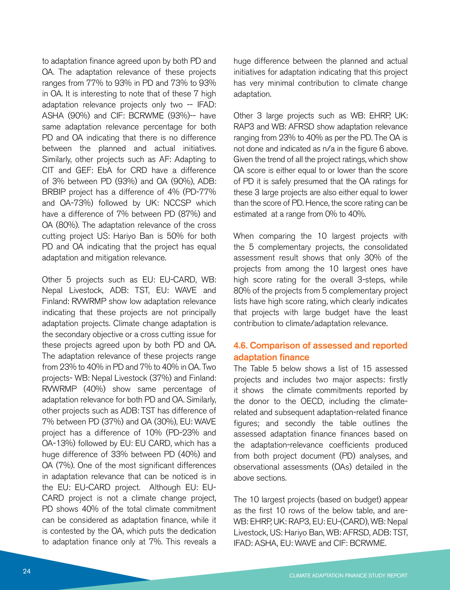to adaptation finance agreed upon by both PD and OA. The adaptation relevance of these projects ranges from 77% to 93% in PD and 73% to 93% in OA. It is interesting to note that of these 7 high adaptation relevance projects only two -- IFAD: ASHA (90%) and CIF: BCRWME (93%)-- have same adaptation relevance percentage for both PD and OA indicating that there is no difference between the planned and actual initiatives. Similarly, other projects such as AF: Adapting to CIT and GEF: EbA for CRD have a difference of 3% between PD (93%) and OA (90%), ADB: BRBIP project has a difference of 4% (PD-77% and OA-73%) followed by UK: NCCSP which have a difference of 7% between PD (87%) and OA (80%). The adaptation relevance of the cross cutting project US: Hariyo Ban is 50% for both PD and OA indicating that the project has equal adaptation and mitigation relevance.

Other 5 projects such as EU: EU-CARD, WB: Nepal Livestock, ADB: TST, EU: WAVE and Finland: RVWRMP show low adaptation relevance indicating that these projects are not principally adaptation projects. Climate change adaptation is the secondary objective or a cross cutting issue for these projects agreed upon by both PD and OA. The adaptation relevance of these projects range from 23% to 40% in PD and 7% to 40% in OA. Two projects- WB: Nepal Livestock (37%) and Finland: RVWRMP (40%) show same percentage of adaptation relevance for both PD and OA. Similarly, other projects such as ADB: TST has difference of 7% between PD (37%) and OA (30%), EU: WAVE project has a difference of 10% (PD-23% and OA-13%) followed by EU: EU CARD, which has a huge difference of 33% between PD (40%) and OA (7%). One of the most significant differences in adaptation relevance that can be noticed is in the EU: EU-CARD project. Although EU: EU-CARD project is not a climate change project, PD shows 40% of the total climate commitment can be considered as adaptation finance, while it is contested by the OA, which puts the dedication to adaptation finance only at 7%. This reveals a

huge difference between the planned and actual initiatives for adaptation indicating that this project has very minimal contribution to climate change adaptation.

Other 3 large projects such as WB: EHRP, UK: RAP3 and WB: AFRSD show adaptation relevance ranging from 23% to 40% as per the PD. The OA is not done and indicated as n/a in the figure 6 above. Given the trend of all the project ratings, which show OA score is either equal to or lower than the score of PD it is safely presumed that the OA ratings for these 3 large projects are also either equal to lower than the score of PD. Hence, the score rating can be estimated at a range from 0% to 40%.

When comparing the 10 largest projects with the 5 complementary projects, the consolidated assessment result shows that only 30% of the projects from among the 10 largest ones have high score rating for the overall 3-steps, while 80% of the projects from 5 complementary project lists have high score rating, which clearly indicates that projects with large budget have the least contribution to climate/adaptation relevance.

#### 4.6. Comparison of assessed and reported adaptation finance

The Table 5 below shows a list of 15 assessed projects and includes two major aspects: firstly it shows the climate commitments reported by the donor to the OECD, including the climaterelated and subsequent adaptation-related finance figures; and secondly the table outlines the assessed adaptation finance finances based on the adaptation-relevance coefficients produced from both project document (PD) analyses, and observational assessments (OAs) detailed in the above sections.

The 10 largest projects (based on budget) appear as the first 10 rows of the below table, and are-WB: EHRP, UK: RAP3, EU: EU-(CARD), WB: Nepal Livestock, US: Hariyo Ban, WB: AFRSD, ADB: TST, IFAD: ASHA, EU: WAVE and CIF: BCRWME.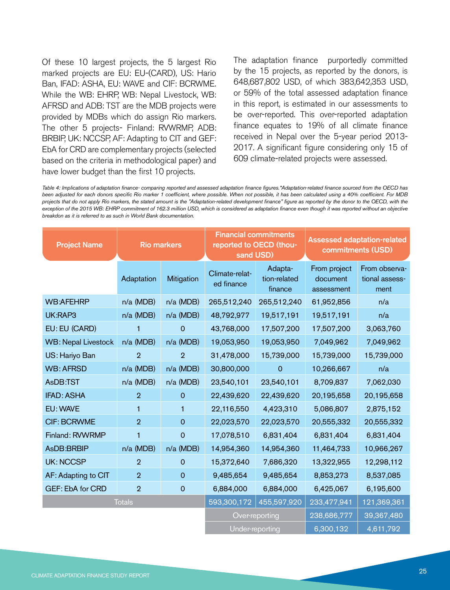Of these 10 largest projects, the 5 largest Rio marked projects are EU: EU-(CARD), US: Hario Ban, IFAD: ASHA, EU: WAVE and CIF: BCRWME. While the WB: EHRP, WB: Nepal Livestock, WB: AFRSD and ADB: TST are the MDB projects were provided by MDBs which do assign Rio markers. The other 5 projects- Finland: RVWRMP, ADB: BRBIP, UK: NCCSP, AF: Adapting to CIT and GEF: EbA for CRD are complementary projects (selected based on the criteria in methodological paper) and have lower budget than the first 10 projects.

The adaptation finance purportedly committed by the 15 projects, as reported by the donors, is 648,687,802 USD, of which 383,642,353 USD, or 59% of the total assessed adaptation finance in this report, is estimated in our assessments to be over-reported. This over-reported adaptation finance equates to 19% of all climate finance received in Nepal over the 5-year period 2013- 2017. A significant figure considering only 15 of 609 climate-related projects were assessed.

*Table 4: Implications of adaptation finance- comparing reported and assessed adaptation finance figures.\*Adaptation-related finance sourced from the OECD has been adjusted for each donors specific Rio marker 1 coefficient, where possible. When not possible, it has been calculated using a 40% coefficient. For MDB*  projects that do not apply Rio markers, the stated amount is the "Adaptation-related development finance" figure as reported by the donor to the OECD, with the exception of the 2015 WB: EHRP commitment of 162.3 million USD, which is considered as adaptation finance even though it was reported without an objective *breakdon as it is referred to as such in World Bank documentation.*

| <b>Project Name</b>        | <b>Rio markers</b> |                | sand USD)                    | <b>Financial commitments</b><br>reported to OECD (thou- |                                        | <b>Assessed adaptation-related</b><br>commitments (USD) |
|----------------------------|--------------------|----------------|------------------------------|---------------------------------------------------------|----------------------------------------|---------------------------------------------------------|
|                            | Adaptation         | Mitigation     | Climate-relat-<br>ed finance | Adapta-<br>tion-related<br>finance                      | From project<br>document<br>assessment | From observa-<br>tional assess-<br>ment                 |
| <b>WB:AFEHRP</b>           | n/a (MDB)          | n/a (MDB)      | 265,512,240                  | 265,512,240                                             | 61,952,856                             | n/a                                                     |
| UK:RAP3                    | n/a (MDB)          | n/a (MDB)      | 48,792,977                   | 19,517,191                                              | 19,517,191                             | n/a                                                     |
| EU: EU (CARD)              | 1                  | $\overline{0}$ | 43,768,000                   | 17,507,200                                              | 17,507,200                             | 3,063,760                                               |
| <b>WB: Nepal Livestock</b> | n/a (MDB)          | n/a (MDB)      | 19,053,950                   | 19,053,950                                              | 7,049,962                              | 7,049,962                                               |
| US: Hariyo Ban             | $\overline{2}$     | $\overline{2}$ | 31,478,000                   | 15,739,000                                              | 15,739,000                             | 15,739,000                                              |
| <b>WB: AFRSD</b>           | n/a (MDB)          | n/a (MDB)      | 30,800,000                   | $\mathbf 0$                                             | 10,266,667                             | n/a                                                     |
| AsDB:TST                   | n/a (MDB)          | n/a (MDB)      | 23,540,101                   | 23,540,101                                              | 8,709,837                              | 7,062,030                                               |
| <b>IFAD: ASHA</b>          | $\overline{2}$     | $\overline{0}$ | 22,439,620                   | 22,439,620                                              | 20,195,658                             | 20,195,658                                              |
| EU: WAVE                   | 1                  | 1              | 22,116,550                   | 4,423,310                                               | 5,086,807                              | 2,875,152                                               |
| <b>CIF: BCRWME</b>         | $\overline{2}$     | $\mathbf 0$    | 22,023,570                   | 22,023,570                                              | 20,555,332                             | 20,555,332                                              |
| Finland: RVWRMP            | 1                  | $\overline{0}$ | 17,078,510                   | 6,831,404                                               | 6,831,404                              | 6,831,404                                               |
| AsDB:BRBIP                 | n/a (MDB)          | n/a (MDB)      | 14,954,360                   | 14,954,360                                              | 11,464,733                             | 10,966,267                                              |
| <b>UK: NCCSP</b>           | $\overline{2}$     | $\mathbf 0$    | 15,372,640                   | 7,686,320                                               | 13,322,955                             | 12,298,112                                              |
| AF: Adapting to CIT        | $\overline{2}$     | $\Omega$       | 9,485,654                    | 9,485,654                                               | 8,853,273                              | 8,537,085                                               |
| <b>GEF: EbA for CRD</b>    | $\overline{2}$     | $\mathbf 0$    | 6,884,000                    | 6,884,000                                               | 6,425,067                              | 6,195,600                                               |
| <b>Totals</b>              |                    | 593,300,172    | 455,597,920                  | 233,477,941                                             | 121,369,361                            |                                                         |
|                            |                    |                |                              | Over-reporting                                          | 238,686,777                            | 39,367,480                                              |
|                            |                    |                | Under-reporting              |                                                         | 6,300,132                              | 4,611,792                                               |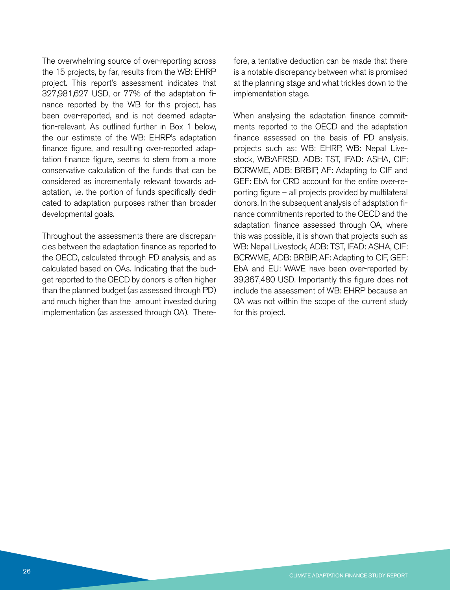The overwhelming source of over-reporting across the 15 projects, by far, results from the WB: EHRP project. This report's assessment indicates that 327,981,627 USD, or 77% of the adaptation finance reported by the WB for this project, has been over-reported, and is not deemed adaptation-relevant. As outlined further in Box 1 below, the our estimate of the WB: EHRP's adaptation finance figure, and resulting over-reported adaptation finance figure, seems to stem from a more conservative calculation of the funds that can be considered as incrementally relevant towards adaptation, i.e. the portion of funds specifically dedicated to adaptation purposes rather than broader developmental goals.

Throughout the assessments there are discrepancies between the adaptation finance as reported to the OECD, calculated through PD analysis, and as calculated based on OAs. Indicating that the budget reported to the OECD by donors is often higher than the planned budget (as assessed through PD) and much higher than the amount invested during implementation (as assessed through OA). Therefore, a tentative deduction can be made that there is a notable discrepancy between what is promised at the planning stage and what trickles down to the implementation stage.

When analysing the adaptation finance commitments reported to the OECD and the adaptation finance assessed on the basis of PD analysis, projects such as: WB: EHRP, WB: Nepal Livestock, WB:AFRSD, ADB: TST, IFAD: ASHA, CIF: BCRWME, ADB: BRBIP, AF: Adapting to CIF and GEF: EbA for CRD account for the entire over-reporting figure – all projects provided by multilateral donors. In the subsequent analysis of adaptation finance commitments reported to the OECD and the adaptation finance assessed through OA, where this was possible, it is shown that projects such as WB: Nepal Livestock, ADB: TST, IFAD: ASHA, CIF: BCRWME, ADB: BRBIP, AF: Adapting to CIF, GEF: EbA and EU: WAVE have been over-reported by 39,367,480 USD. Importantly this figure does not include the assessment of WB: EHRP because an OA was not within the scope of the current study for this project.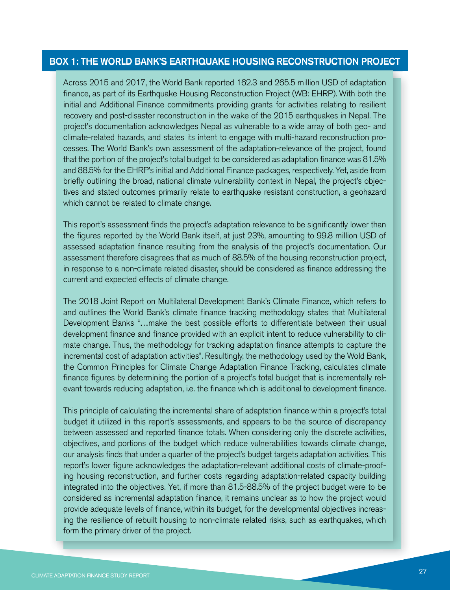#### BOX 1: THE WORLD BANK'S EARTHQUAKE HOUSING RECONSTRUCTION PROJECT

Across 2015 and 2017, the World Bank reported 162.3 and 265.5 million USD of adaptation finance, as part of its Earthquake Housing Reconstruction Project (WB: EHRP). With both the initial and Additional Finance commitments providing grants for activities relating to resilient recovery and post-disaster reconstruction in the wake of the 2015 earthquakes in Nepal. The project's documentation acknowledges Nepal as vulnerable to a wide array of both geo- and climate-related hazards, and states its intent to engage with multi-hazard reconstruction processes. The World Bank's own assessment of the adaptation-relevance of the project, found that the portion of the project's total budget to be considered as adaptation finance was 81.5% and 88.5% for the EHRP's initial and Additional Finance packages, respectively. Yet, aside from briefly outlining the broad, national climate vulnerability context in Nepal, the project's objectives and stated outcomes primarily relate to earthquake resistant construction, a geohazard which cannot be related to climate change.

This report's assessment finds the project's adaptation relevance to be significantly lower than the figures reported by the World Bank itself, at just 23%, amounting to 99.8 million USD of assessed adaptation finance resulting from the analysis of the project's documentation. Our assessment therefore disagrees that as much of 88.5% of the housing reconstruction project, in response to a non-climate related disaster, should be considered as finance addressing the current and expected effects of climate change.

The 2018 Joint Report on Multilateral Development Bank's Climate Finance, which refers to and outlines the World Bank's climate finance tracking methodology states that Multilateral Development Banks "…make the best possible efforts to differentiate between their usual development finance and finance provided with an explicit intent to reduce vulnerability to climate change. Thus, the methodology for tracking adaptation finance attempts to capture the incremental cost of adaptation activities". Resultingly, the methodology used by the Wold Bank, the Common Principles for Climate Change Adaptation Finance Tracking, calculates climate finance figures by determining the portion of a project's total budget that is incrementally relevant towards reducing adaptation, i.e. the finance which is additional to development finance.

This principle of calculating the incremental share of adaptation finance within a project's total budget it utilized in this report's assessments, and appears to be the source of discrepancy between assessed and reported finance totals. When considering only the discrete activities, objectives, and portions of the budget which reduce vulnerabilities towards climate change, our analysis finds that under a quarter of the project's budget targets adaptation activities. This report's lower figure acknowledges the adaptation-relevant additional costs of climate-proofing housing reconstruction, and further costs regarding adaptation-related capacity building integrated into the objectives. Yet, if more than 81.5-88.5% of the project budget were to be considered as incremental adaptation finance, it remains unclear as to how the project would provide adequate levels of finance, within its budget, for the developmental objectives increasing the resilience of rebuilt housing to non-climate related risks, such as earthquakes, which form the primary driver of the project.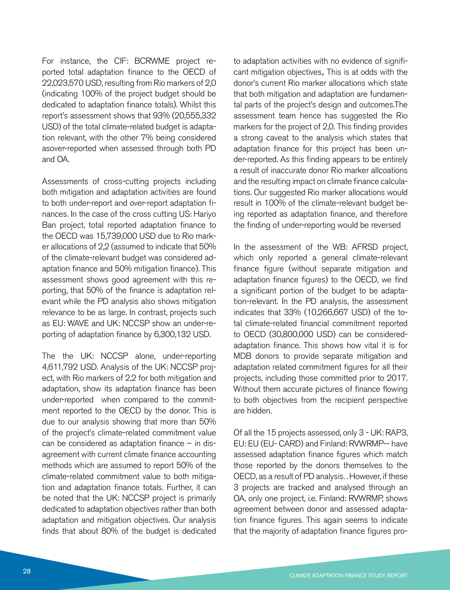For instance, the CIF: BCRWME project reported total adaptation finance to the OECD of 22,023,570 USD, resulting from Rio markers of 2,0 (indicating 100% of the project budget should be dedicated to adaptation finance totals). Whilst this report's assessment shows that 93% (20,555,332 USD) of the total climate-related budget is adaptation relevant, with the other 7% being considered asover-reported when assessed through both PD and OA.

Assessments of cross-cutting projects including both mitigation and adaptation activities are found to both under-report and over-report adaptation finances. In the case of the cross cutting US: Hariyo Ban project, total reported adaptation finance to the OECD was 15,739,000 USD due to Rio marker allocations of 2,2 (assumed to indicate that 50% of the climate-relevant budget was considered adaptation finance and 50% mitigation finance). This assessment shows good agreement with this reporting, that 50% of the finance is adaptation relevant while the PD analysis also shows mitigation relevance to be as large. In contrast, projects such as EU: WAVE and UK: NCCSP show an under-reporting of adaptation finance by 6,300,132 USD.

The the UK: NCCSP alone, under-reporting 4,611,792 USD. Analysis of the UK: NCCSP project, with Rio markers of 2,2 for both mitigation and adaptation, show its adaptation finance has been under-reported when compared to the commitment reported to the OECD by the donor. This is due to our analysis showing that more than 50% of the project's climate-related commitment value can be considered as adaptation finance – in disagreement with current climate finance accounting methods which are assumed to report 50% of the climate-related commitment value to both mitigation and adaptation finance totals. Further, it can be noted that the UK: NCCSP project is primarily dedicated to adaptation objectives rather than both adaptation and mitigation objectives. Our analysis finds that about 80% of the budget is dedicated

to adaptation activities with no evidence of significant mitigation objectives,. This is at odds with the donor's current Rio marker allocations which state that both mitigation and adaptation are fundamental parts of the project's design and outcomes.The assessment team hence has suggested the Rio markers for the project of 2,0. This finding provides a strong caveat to the analysis which states that adaptation finance for this project has been under-reported. As this finding appears to be entirely a result of inaccurate donor Rio marker allcoations and the resulting impact on climate finance calculations. Our suggested Rio marker allocations would result in 100% of the climate-relevant budget being reported as adaptation finance, and therefore the finding of under-reporting would be reversed

In the assessment of the WB: AFRSD project, which only reported a general climate-relevant finance figure (without separate mitigation and adaptation finance figures) to the OECD, we find a significant portion of the budget to be adaptation-relevant. In the PD analysis, the assessment indicates that 33% (10,266,667 USD) of the total climate-related financial commitment reported to OECD (30,800,000 USD) can be consideredadaptation finance. This shows how vital it is for MDB donors to provide separate mitigation and adaptation related commitment figures for all their projects, including those committed prior to 2017. Without them accurate pictures of finance flowing to both objectives from the recipient perspective are hidden.

Of all the 15 projects assessed, only 3 - UK: RAP3, EU: EU (EU- CARD) and Finland: RVWRMP-- have assessed adaptation finance figures which match those reported by the donors themselves to the OECD, as a result of PD analysis. . However, if these 3 projects are tracked and analysed through an OA, only one project, i.e. Finland: RVWRMP, shows agreement between donor and assessed adaptation finance figures. This again seems to indicate that the majority of adaptation finance figures pro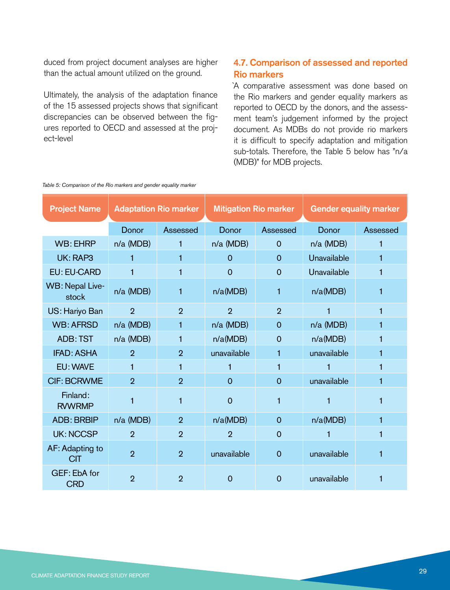duced from project document analyses are higher than the actual amount utilized on the ground.

Ultimately, the analysis of the adaptation finance of the 15 assessed projects shows that significant discrepancies can be observed between the figures reported to OECD and assessed at the project-level

#### 4.7. Comparison of assessed and reported Rio markers

`A comparative assessment was done based on the Rio markers and gender equality markers as reported to OECD by the donors, and the assessment team's judgement informed by the project document. As MDBs do not provide rio markers it is difficult to specify adaptation and mitigation sub-totals. Therefore, the Table 5 below has "n/a (MDB)" for MDB projects.

| <b>Project Name</b>           | <b>Adaptation Rio marker</b> |                | <b>Mitigation Rio marker</b> |                | <b>Gender equality marker</b> |          |
|-------------------------------|------------------------------|----------------|------------------------------|----------------|-------------------------------|----------|
|                               | Donor                        | Assessed       | Donor                        | Assessed       | Donor                         | Assessed |
| <b>WB: EHRP</b>               | $n/a$ (MDB)                  | 1              | $n/a$ (MDB)                  | $\Omega$       | n/a (MDB)                     | 1        |
| UK: RAP3                      | 1                            | 1              | $\Omega$                     | $\Omega$       | Unavailable                   | 1        |
| <b>EU: EU-CARD</b>            | 1                            | 1              | $\mathbf 0$                  | $\overline{0}$ | Unavailable                   | 1        |
| WB: Nepal Live-<br>stock      | n/a (MDB)                    | 1              | n/a(MDB)                     | 1              | n/a(MDB)                      | 1        |
| US: Hariyo Ban                | $\overline{2}$               | $\overline{2}$ | $\overline{2}$               | $\overline{2}$ |                               | 1        |
| <b>WB: AFRSD</b>              | $n/a$ (MDB)                  | 1              | $n/a$ (MDB)                  | $\Omega$       | n/a (MDB)                     | 1        |
| <b>ADB: TST</b>               | $n/a$ (MDB)                  | 1              | n/a(MDB)                     | $\Omega$       | n/a(MDB)                      | 1        |
| <b>IFAD: ASHA</b>             | $\overline{2}$               | $\overline{2}$ | unavailable                  | 1              | unavailable                   | 1        |
| EU: WAVE                      | 1                            | 1              | 1                            | 1              |                               | 1        |
| <b>CIF: BCRWME</b>            | $\overline{2}$               | $\overline{2}$ | $\Omega$                     | $\Omega$       | unavailable                   | 1        |
| Finland:<br><b>RVWRMP</b>     |                              | 1              | $\overline{0}$               | 1              |                               | 1        |
| <b>ADB: BRBIP</b>             | $n/a$ (MDB)                  | $\overline{2}$ | n/a(MDB)                     | $\Omega$       | n/a(MDB)                      | 1        |
| <b>UK: NCCSP</b>              | $\overline{2}$               | $\overline{2}$ | $\overline{2}$               | $\overline{0}$ |                               | 1        |
| AF: Adapting to<br><b>CIT</b> | $\overline{2}$               | $\overline{2}$ | unavailable                  | $\overline{0}$ | unavailable                   | 1        |
| GEF: EbA for<br><b>CRD</b>    | $\overline{2}$               | 2              | $\Omega$                     | O              | unavailable                   | 1        |

*Table 5: Comparison of the Rio markers and gender equality marker*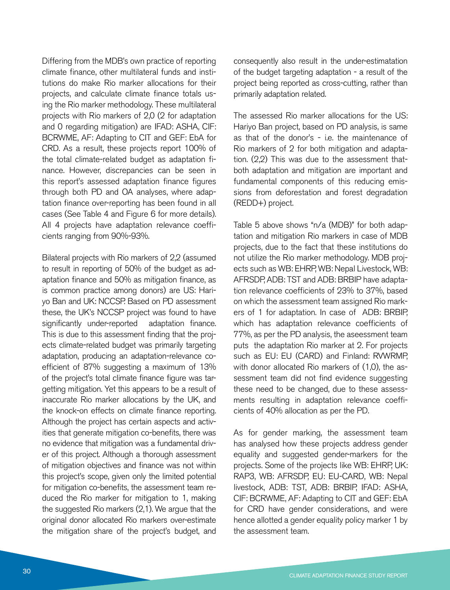Differing from the MDB's own practice of reporting climate finance, other multilateral funds and institutions do make Rio marker allocations for their projects, and calculate climate finance totals using the Rio marker methodology. These multilateral projects with Rio markers of 2,0 (2 for adaptation and 0 regarding mitigation) are IFAD: ASHA, CIF: BCRWME, AF: Adapting to CIT and GEF: EbA for CRD. As a result, these projects report 100% of the total climate-related budget as adaptation finance. However, discrepancies can be seen in this report's assessed adaptation finance figures through both PD and OA analyses, where adaptation finance over-reporting has been found in all cases (See Table 4 and Figure 6 for more details). All 4 projects have adaptation relevance coefficients ranging from 90%-93%.

Bilateral projects with Rio markers of 2,2 (assumed to result in reporting of 50% of the budget as adaptation finance and 50% as mitigation finance, as is common practice among donors) are US: Hariyo Ban and UK: NCCSP. Based on PD assessment these, the UK's NCCSP project was found to have significantly under-reported adaptation finance. This is due to this assessment finding that the projects climate-related budget was primarily targeting adaptation, producing an adaptation-relevance coefficient of 87% suggesting a maximum of 13% of the project's total climate finance figure was targetting mitigation. Yet this appears to be a result of inaccurate Rio marker allocations by the UK, and the knock-on effects on climate finance reporting. Although the project has certain aspects and activities that generate mitigation co-benefits, there was no evidence that mitigation was a fundamental driver of this project. Although a thorough assessment of mitigation objectives and finance was not within this project's scope, given only the limited potential for mitigation co-benefits, the assessment team reduced the Rio marker for mitigation to 1, making the suggested Rio markers (2,1). We argue that the original donor allocated Rio markers over-estimate the mitigation share of the project's budget, and

consequently also result in the under-estimatation of the budget targeting adaptation - a result of the project being reported as cross-cutting, rather than primarily adaptation related.

The assessed Rio marker allocations for the US: Hariyo Ban project, based on PD analysis, is same as that of the donor's - i.e. the maintenance of Rio markers of 2 for both mitigation and adaptation. (2,2) This was due to the assessment thatboth adaptation and mitigation are important and fundamental components of this reducing emissions from deforestation and forest degradation (REDD+) project.

Table 5 above shows "n/a (MDB)" for both adaptation and mitigation Rio markers in case of MDB projects, due to the fact that these institutions do not utilize the Rio marker methodology. MDB projects such as WB: EHRP, WB: Nepal Livestock, WB: AFRSDP, ADB: TST and ADB: BRBIP have adaptation relevance coefficients of 23% to 37%, based on which the assessment team assigned Rio markers of 1 for adaptation. In case of ADB: BRBIP, which has adaptation relevance coefficients of 77%, as per the PD analysis, the aseessment team puts the adaptation Rio marker at 2. For projects such as EU: EU (CARD) and Finland: RVWRMP, with donor allocated Rio markers of (1,0), the assessment team did not find evidence suggesting these need to be changed, due to these assessments resulting in adaptation relevance coefficients of 40% allocation as per the PD.

As for gender marking, the assessment team has analysed how these projects address gender equality and suggested gender-markers for the projects. Some of the projects like WB: EHRP, UK: RAP3, WB: AFRSDP, EU: EU-CARD, WB: Nepal livestock, ADB: TST, ADB: BRBIP, IFAD: ASHA, CIF: BCRWME, AF: Adapting to CIT and GEF: EbA for CRD have gender considerations, and were hence allotted a gender equality policy marker 1 by the assessment team.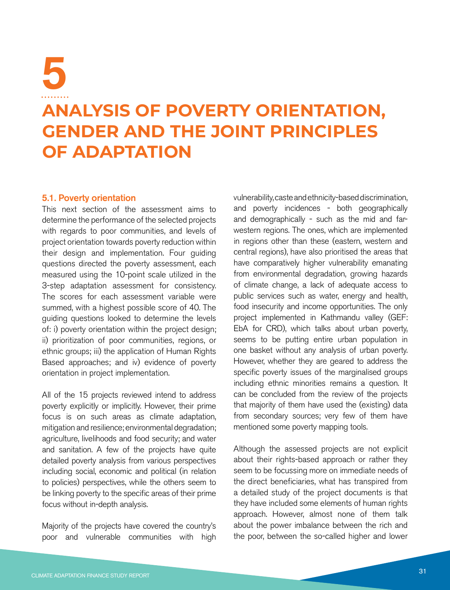## **ANALYSIS OF POVERTY ORIENTATION, GENDER AND THE JOINT PRINCIPLES OF ADAPTATION** 5

#### 5.1. Poverty orientation

This next section of the assessment aims to determine the performance of the selected projects with regards to poor communities, and levels of project orientation towards poverty reduction within their design and implementation. Four guiding questions directed the poverty assessment, each measured using the 10-point scale utilized in the 3-step adaptation assessment for consistency. The scores for each assessment variable were summed, with a highest possible score of 40. The guiding questions looked to determine the levels of: i) poverty orientation within the project design; ii) prioritization of poor communities, regions, or ethnic groups; iii) the application of Human Rights Based approaches; and iv) evidence of poverty orientation in project implementation.

All of the 15 projects reviewed intend to address poverty explicitly or implicitly. However, their prime focus is on such areas as climate adaptation, mitigation and resilience; environmental degradation; agriculture, livelihoods and food security; and water and sanitation. A few of the projects have quite detailed poverty analysis from various perspectives including social, economic and political (in relation to policies) perspectives, while the others seem to be linking poverty to the specific areas of their prime focus without in-depth analysis.

Majority of the projects have covered the country's poor and vulnerable communities with high vulnerability, caste and ethnicity-based discrimination, and poverty incidences - both geographically and demographically - such as the mid and farwestern regions. The ones, which are implemented in regions other than these (eastern, western and central regions), have also prioritised the areas that have comparatively higher vulnerability emanating from environmental degradation, growing hazards of climate change, a lack of adequate access to public services such as water, energy and health, food insecurity and income opportunities. The only project implemented in Kathmandu valley (GEF: EbA for CRD), which talks about urban poverty, seems to be putting entire urban population in one basket without any analysis of urban poverty. However, whether they are geared to address the specific poverty issues of the marginalised groups including ethnic minorities remains a question. It can be concluded from the review of the projects that majority of them have used the (existing) data from secondary sources; very few of them have mentioned some poverty mapping tools.

Although the assessed projects are not explicit about their rights-based approach or rather they seem to be focussing more on immediate needs of the direct beneficiaries, what has transpired from a detailed study of the project documents is that they have included some elements of human rights approach. However, almost none of them talk about the power imbalance between the rich and the poor, between the so-called higher and lower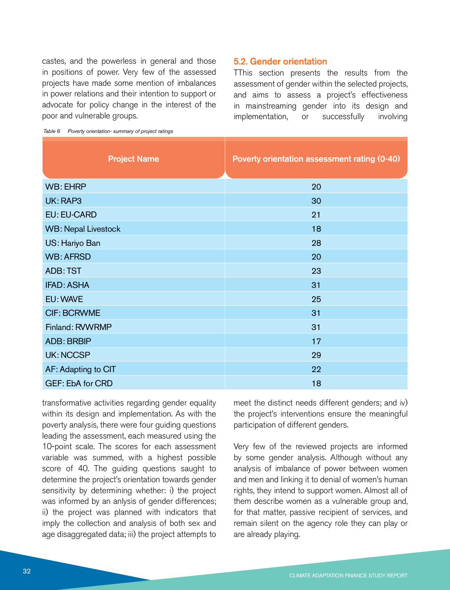castes, and the powerless in general and those in positions of power. Very few of the assessed projects have made some mention of imbalances in power relations and their intention to support or advocate for policy change in the interest of the poor and vulnerable groups.

#### 5.2. Gender orientation

TThis section presents the results from the assessment of gender within the selected projects, and aims to assess a project's effectiveness in mainstreaming gender into its design and implementation, or successfully involving

*Table 6 Poverty orientation- summary of project ratings*

| <b>Project Name</b>        | Poverty orientation assessment rating (0-40) |
|----------------------------|----------------------------------------------|
| <b>WB: EHRP</b>            | 20                                           |
| UK: RAP3                   | 30                                           |
| <b>EU: EU-CARD</b>         | 21                                           |
| <b>WB: Nepal Livestock</b> | 18                                           |
| US: Hariyo Ban             | 28                                           |
| <b>WB: AFRSD</b>           | 20                                           |
| <b>ADB: TST</b>            | 23                                           |
| <b>IFAD: ASHA</b>          | 31                                           |
| EU: WAVE                   | 25                                           |
| <b>CIF: BCRWME</b>         | 31                                           |
| Finland: RVWRMP            | 31                                           |
| <b>ADB: BRBIP</b>          | 17                                           |
| <b>UK: NCCSP</b>           | 29                                           |
| AF: Adapting to CIT        | 22                                           |
| <b>GEF: EbA for CRD</b>    | 18                                           |

transformative activities regarding gender equality within its design and implementation. As with the poverty analysis, there were four guiding questions leading the assessment, each measured using the 10-point scale. The scores for each assessment variable was summed, with a highest possible score of 40. The guiding questions saught to determine the project's orientation towards gender sensitivity by determining whether: i) the project was informed by an anlysis of gender differences; ii) the project was planned with indicators that imply the collection and analysis of both sex and age disaggregated data; iii) the project attempts to meet the distinct needs different genders; and iv) the project's interventions ensure the meaningful participation of different genders.

Very few of the reviewed projects are informed by some gender analysis. Although without any analysis of imbalance of power between women and men and linking it to denial of women's human rights, they intend to support women. Almost all of them describe women as a vulnerable group and, for that matter, passive recipient of services, and remain silent on the agency role they can play or are already playing.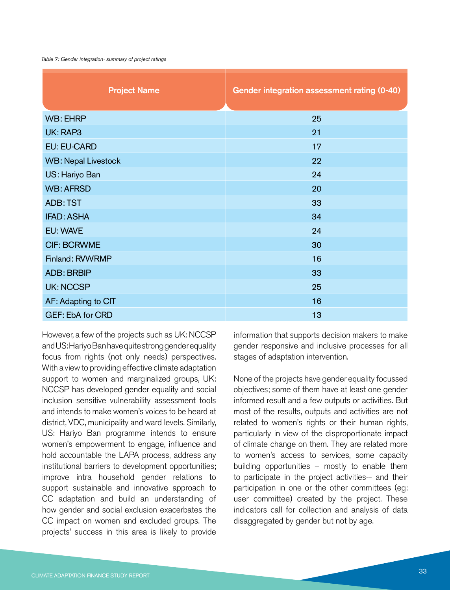#### *Table 7: Gender integration- summary of project ratings*

| <b>Project Name</b>        | <b>Gender integration assessment rating (0-40)</b> |
|----------------------------|----------------------------------------------------|
| <b>WB: EHRP</b>            | 25                                                 |
| UK: RAP3                   | 21                                                 |
| <b>EU: EU-CARD</b>         | 17                                                 |
| <b>WB: Nepal Livestock</b> | 22                                                 |
| US: Hariyo Ban             | 24                                                 |
| <b>WB: AFRSD</b>           | 20                                                 |
| <b>ADB: TST</b>            | 33                                                 |
| <b>IFAD: ASHA</b>          | 34                                                 |
| EU: WAVE                   | 24                                                 |
| <b>CIF: BCRWME</b>         | 30                                                 |
| Finland: RVWRMP            | 16                                                 |
| <b>ADB: BRBIP</b>          | 33                                                 |
| <b>UK: NCCSP</b>           | 25                                                 |
| AF: Adapting to CIT        | 16                                                 |
| GEF: EbA for CRD           | 13                                                 |

However, a few of the projects such as UK: NCCSP and US: Hariyo Ban have quite strong gender equality focus from rights (not only needs) perspectives. With a view to providing effective climate adaptation support to women and marginalized groups, UK: NCCSP has developed gender equality and social inclusion sensitive vulnerability assessment tools and intends to make women's voices to be heard at district, VDC, municipality and ward levels. Similarly, US: Hariyo Ban programme intends to ensure women's empowerment to engage, influence and hold accountable the LAPA process, address any institutional barriers to development opportunities; improve intra household gender relations to support sustainable and innovative approach to CC adaptation and build an understanding of how gender and social exclusion exacerbates the CC impact on women and excluded groups. The projects' success in this area is likely to provide

information that supports decision makers to make gender responsive and inclusive processes for all stages of adaptation intervention.

None of the projects have gender equality focussed objectives; some of them have at least one gender informed result and a few outputs or activities. But most of the results, outputs and activities are not related to women's rights or their human rights, particularly in view of the disproportionate impact of climate change on them. They are related more to women's access to services, some capacity building opportunities – mostly to enable them to participate in the project activities-- and their participation in one or the other committees (eg: user committee) created by the project. These indicators call for collection and analysis of data disaggregated by gender but not by age.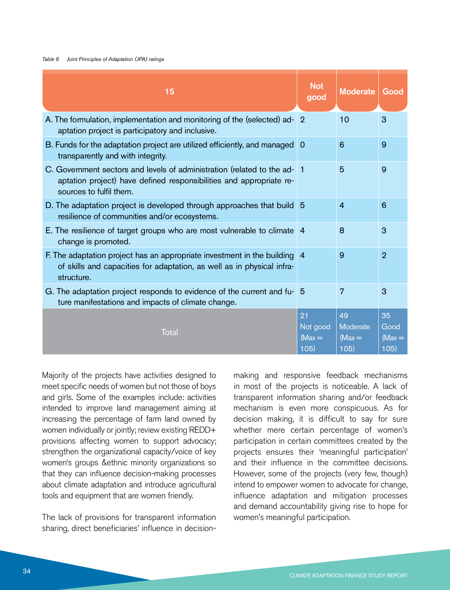#### *Table 8 Joint Principles of Adaptation (JPA) ratings*

| 15                                                                                                                                                                        | <b>Not</b><br>good                 | <b>Moderate</b>                           | Good                           |
|---------------------------------------------------------------------------------------------------------------------------------------------------------------------------|------------------------------------|-------------------------------------------|--------------------------------|
| A. The formulation, implementation and monitoring of the (selected) ad-<br>aptation project is participatory and inclusive.                                               | $\overline{2}$                     | 10                                        | 3                              |
| B. Funds for the adaptation project are utilized efficiently, and managed 0<br>transparently and with integrity.                                                          |                                    | 6                                         | 9                              |
| C. Government sectors and levels of administration (related to the ad-1<br>aptation project) have defined responsibilities and appropriate re-<br>sources to fulfil them. |                                    | 5                                         | 9                              |
| D. The adaptation project is developed through approaches that build 5<br>resilience of communities and/or ecosystems.                                                    |                                    | $\overline{4}$                            | 6                              |
| E. The resilience of target groups who are most vulnerable to climate 4<br>change is promoted.                                                                            |                                    | 8                                         | 3                              |
| F. The adaptation project has an appropriate investment in the building 4<br>of skills and capacities for adaptation, as well as in physical infra-<br>structure.         |                                    | 9                                         | $\overline{2}$                 |
| G. The adaptation project responds to evidence of the current and fu- 5<br>ture manifestations and impacts of climate change.                                             |                                    | 7                                         | 3                              |
| Total                                                                                                                                                                     | 21<br>Not good<br>$(Max =$<br>105) | 49<br><b>Moderate</b><br>$(Max =$<br>105) | 35<br>Good<br>$(Max =$<br>105) |

Majority of the projects have activities designed to meet specific needs of women but not those of boys and girls. Some of the examples include: activities intended to improve land management aiming at increasing the percentage of farm land owned by women individually or jointly; review existing REDD+ provisions affecting women to support advocacy; strengthen the organizational capacity/voice of key women's groups &ethnic minority organizations so that they can influence decision-making processes about climate adaptation and introduce agricultural tools and equipment that are women friendly.

The lack of provisions for transparent information sharing, direct beneficiaries' influence in decision-

making and responsive feedback mechanisms in most of the projects is noticeable. A lack of transparent information sharing and/or feedback mechanism is even more conspicuous. As for decision making, it is difficult to say for sure whether mere certain percentage of women's participation in certain committees created by the projects ensures their 'meaningful participation' and their influence in the committee decisions. However, some of the projects (very few, though) intend to empower women to advocate for change, influence adaptation and mitigation processes and demand accountability giving rise to hope for women's meaningful participation.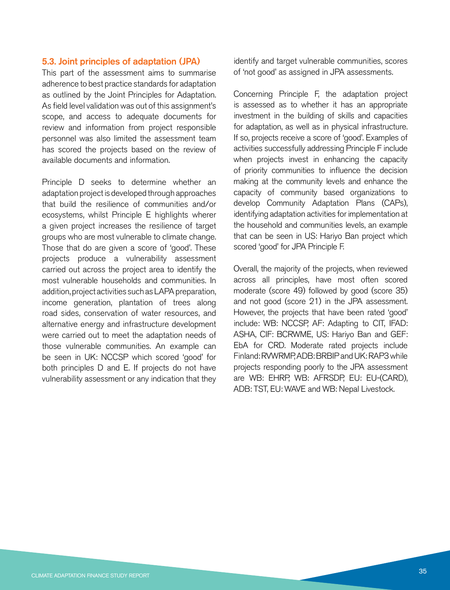#### 5.3. Joint principles of adaptation (JPA)

This part of the assessment aims to summarise adherence to best practice standards for adaptation as outlined by the Joint Principles for Adaptation. As field level validation was out of this assignment's scope, and access to adequate documents for review and information from project responsible personnel was also limited the assessment team has scored the projects based on the review of available documents and information.

Principle D seeks to determine whether an adaptation project is developed through approaches that build the resilience of communities and/or ecosystems, whilst Principle E highlights wherer a given project increases the resilience of target groups who are most vulnerable to climate change. Those that do are given a score of 'good'. These projects produce a vulnerability assessment carried out across the project area to identify the most vulnerable households and communities. In addition, project activities such as LAPA preparation, income generation, plantation of trees along road sides, conservation of water resources, and alternative energy and infrastructure development were carried out to meet the adaptation needs of those vulnerable communities. An example can be seen in UK: NCCSP which scored 'good' for both principles D and E. If projects do not have vulnerability assessment or any indication that they identify and target vulnerable communities, scores of 'not good' as assigned in JPA assessments.

Concerning Principle F, the adaptation project is assessed as to whether it has an appropriate investment in the building of skills and capacities for adaptation, as well as in physical infrastructure. If so, projects receive a score of 'good'. Examples of activities successfully addressing Principle F include when projects invest in enhancing the capacity of priority communities to influence the decision making at the community levels and enhance the capacity of community based organizations to develop Community Adaptation Plans (CAPs), identifying adaptation activities for implementation at the household and communities levels, an example that can be seen in US: Hariyo Ban project which scored 'good' for JPA Principle F.

Overall, the majority of the projects, when reviewed across all principles, have most often scored moderate (score 49) followed by good (score 35) and not good (score 21) in the JPA assessment. However, the projects that have been rated 'good' include: WB: NCCSP, AF: Adapting to CIT, IFAD: ASHA, CIF: BCRWME, US: Hariyo Ban and GEF: EbA for CRD. Moderate rated projects include Finland: RVWRMP, ADB: BRBIP and UK: RAP3 while projects responding poorly to the JPA assessment are WB: EHRP, WB: AFRSDP, EU: EU-(CARD), ADB: TST, EU: WAVE and WB: Nepal Livestock.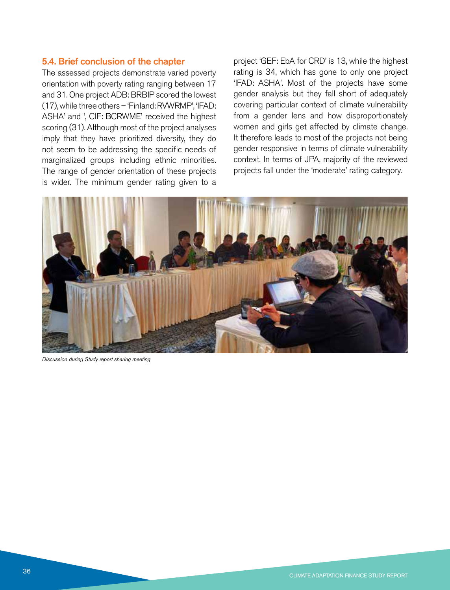#### 5.4. Brief conclusion of the chapter

The assessed projects demonstrate varied poverty orientation with poverty rating ranging between 17 and 31. One project ADB: BRBIP scored the lowest (17), while three others – 'Finland: RVWRMP', 'IFAD: ASHA' and ', CIF: BCRWME' received the highest scoring (31). Although most of the project analyses imply that they have prioritized diversity, they do not seem to be addressing the specific needs of marginalized groups including ethnic minorities. The range of gender orientation of these projects is wider. The minimum gender rating given to a project 'GEF: EbA for CRD' is 13, while the highest rating is 34, which has gone to only one project 'IFAD: ASHA'. Most of the projects have some gender analysis but they fall short of adequately covering particular context of climate vulnerability from a gender lens and how disproportionately women and girls get affected by climate change. It therefore leads to most of the projects not being gender responsive in terms of climate vulnerability context. In terms of JPA, majority of the reviewed projects fall under the 'moderate' rating category.



*Discussion during Study report sharing meeting*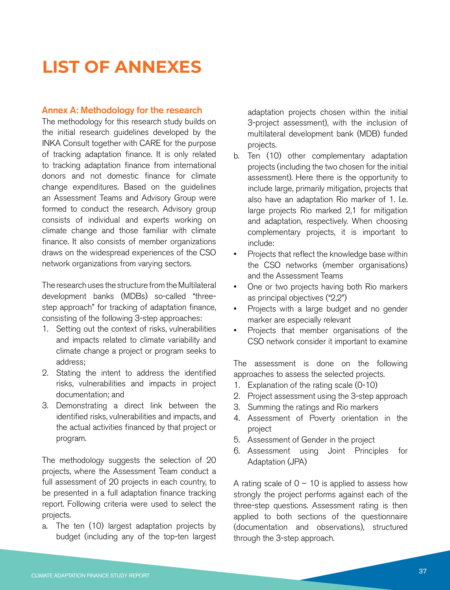## **LIST OF ANNEXES**

#### Annex A: Methodology for the research

The methodology for this research study builds on the initial research guidelines developed by the INKA Consult together with CARE for the purpose of tracking adaptation finance. It is only related to tracking adaptation finance from international donors and not domestic finance for climate change expenditures. Based on the guidelines an Assessment Teams and Advisory Group were formed to conduct the research. Advisory group consists of individual and experts working on climate change and those familiar with climate finance. It also consists of member organizations draws on the widespread experiences of the CSO network organizations from varying sectors.

The research uses the structure from the Multilateral development banks (MDBs) so-called "threestep approach" for tracking of adaptation finance, consisting of the following 3-step approaches:

- 1. Setting out the context of risks, vulnerabilities and impacts related to climate variability and climate change a project or program seeks to address;
- 2. Stating the intent to address the identified risks, vulnerabilities and impacts in project documentation; and
- 3. Demonstrating a direct link between the identified risks, vulnerabilities and impacts, and the actual activities financed by that project or program.

The methodology suggests the selection of 20 projects, where the Assessment Team conduct a full assessment of 20 projects in each country, to be presented in a full adaptation finance tracking report. Following criteria were used to select the projects.

a. The ten (10) largest adaptation projects by budget (including any of the top-ten largest adaptation projects chosen within the initial 3-project assessment), with the inclusion of multilateral development bank (MDB) funded projects.

- b. Ten (10) other complementary adaptation projects (including the two chosen for the initial assessment). Here there is the opportunity to include large, primarily mitigation, projects that also have an adaptation Rio marker of 1. I.e. large projects Rio marked 2,1 for mitigation and adaptation, respectively. When choosing complementary projects, it is important to include:
- Projects that reflect the knowledge base within the CSO networks (member organisations) and the Assessment Teams
- One or two projects having both Rio markers as principal objectives ("2,2")
- Projects with a large budget and no gender marker are especially relevant
- Projects that member organisations of the CSO network consider it important to examine

The assessment is done on the following approaches to assess the selected projects.

- 1. Explanation of the rating scale (0-10)
- 2. Project assessment using the 3-step approach
- 3. Summing the ratings and Rio markers
- 4. Assessment of Poverty orientation in the project
- 5. Assessment of Gender in the project
- 6. Assessment using Joint Principles for Adaptation (JPA)

A rating scale of  $0 - 10$  is applied to assess how strongly the project performs against each of the three-step questions. Assessment rating is then applied to both sections of the questionnaire (documentation and observations), structured through the 3-step approach.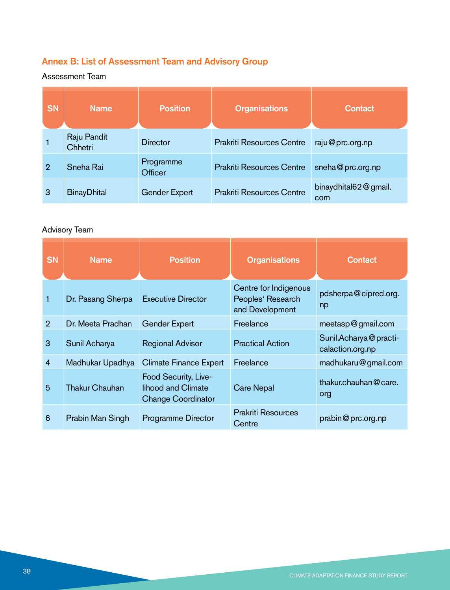#### Annex B: List of Assessment Team and Advisory Group

#### Assessment Team

| <b>SN</b> | <b>Name</b>            | <b>Position</b>      | <b>Organisations</b>             | <b>Contact</b>              |
|-----------|------------------------|----------------------|----------------------------------|-----------------------------|
|           | Raju Pandit<br>Chhetri | Director             | <b>Prakriti Resources Centre</b> | raju@prc.org.np             |
| 2         | Sneha Rai              | Programme<br>Officer | <b>Prakriti Resources Centre</b> | sneha@prc.org.np            |
| 3         | <b>BinayDhital</b>     | <b>Gender Expert</b> | <b>Prakriti Resources Centre</b> | binaydhital62@gmail.<br>com |

#### Advisory Team

| <b>SN</b>      | <b>Name</b>           | <b>Position</b>                                                         | <b>Organisations</b>                                          | Contact                                   |
|----------------|-----------------------|-------------------------------------------------------------------------|---------------------------------------------------------------|-------------------------------------------|
| 1              | Dr. Pasang Sherpa     | <b>Executive Director</b>                                               | Centre for Indigenous<br>Peoples' Research<br>and Development | pdsherpa@cipred.org.<br>np                |
| $\overline{2}$ | Dr. Meeta Pradhan     | <b>Gender Expert</b>                                                    | Freelance                                                     | meetasp@gmail.com                         |
| 3              | Sunil Acharya         | <b>Regional Advisor</b>                                                 | <b>Practical Action</b>                                       | Sunil.Acharya@practi-<br>calaction.org.np |
| $\overline{4}$ | Madhukar Upadhya      | Climate Finance Expert                                                  | Freelance                                                     | madhukaru@gmail.com                       |
| 5              | <b>Thakur Chauhan</b> | Food Security, Live-<br>lihood and Climate<br><b>Change Coordinator</b> | <b>Care Nepal</b>                                             | thakur.chauhan@care.<br>org               |
| 6              | Prabin Man Singh      | Programme Director                                                      | <b>Prakriti Resources</b><br>Centre                           | prabin@prc.org.np                         |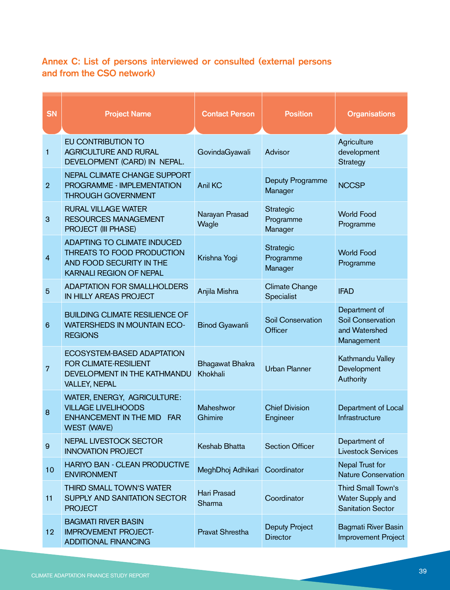#### Annex C: List of persons interviewed or consulted (external persons and from the CSO network)

| <b>SN</b>      | <b>Project Name</b>                                                                                                     | <b>Contact Person</b>       | <b>Position</b>                          | <b>Organisations</b>                                                     |
|----------------|-------------------------------------------------------------------------------------------------------------------------|-----------------------------|------------------------------------------|--------------------------------------------------------------------------|
| 1              | EU CONTRIBUTION TO<br><b>AGRICULTURE AND RURAL</b><br>DEVELOPMENT (CARD) IN NEPAL.                                      | GovindaGyawali              | Advisor                                  | Agriculture<br>development<br><b>Strategy</b>                            |
| $\overline{2}$ | NEPAL CLIMATE CHANGE SUPPORT<br><b>PROGRAMME - IMPLEMENTATION</b><br><b>THROUGH GOVERNMENT</b>                          | <b>Anil KC</b>              | Deputy Programme<br>Manager              | <b>NCCSP</b>                                                             |
| 3              | <b>RURAL VILLAGE WATER</b><br><b>RESOURCES MANAGEMENT</b><br><b>PROJECT (III PHASE)</b>                                 | Narayan Prasad<br>Wagle     | Strategic<br>Programme<br>Manager        | <b>World Food</b><br>Programme                                           |
| 4              | ADAPTING TO CLIMATE INDUCED<br>THREATS TO FOOD PRODUCTION<br>AND FOOD SECURITY IN THE<br><b>KARNALI REGION OF NEPAL</b> | Krishna Yogi                | <b>Strategic</b><br>Programme<br>Manager | <b>World Food</b><br>Programme                                           |
| 5              | <b>ADAPTATION FOR SMALLHOLDERS</b><br>IN HILLY AREAS PROJECT                                                            | Anjila Mishra               | Climate Change<br>Specialist             | <b>IFAD</b>                                                              |
| 6              | <b>BUILDING CLIMATE RESILIENCE OF</b><br><b>WATERSHEDS IN MOUNTAIN ECO-</b><br><b>REGIONS</b>                           | <b>Binod Gyawanli</b>       | Soil Conservation<br>Officer             | Department of<br><b>Soil Conservation</b><br>and Watershed<br>Management |
| 7              | ECOSYSTEM-BASED ADAPTATION<br><b>FOR CLIMATE-RESILIENT</b><br>DEVELOPMENT IN THE KATHMANDU<br><b>VALLEY, NEPAL</b>      | Bhagawat Bhakra<br>Khokhali | <b>Urban Planner</b>                     | Kathmandu Valley<br>Development<br>Authority                             |
| 8              | WATER, ENERGY, AGRICULTURE:<br><b>VILLAGE LIVELIHOODS</b><br>ENHANCEMENT IN THE MID FAR<br><b>WEST (WAVE)</b>           | Maheshwor<br>Ghimire        | <b>Chief Division</b><br>Engineer        | Department of Local<br>Infrastructure                                    |
| 9              | <b>NEPAL LIVESTOCK SECTOR</b><br><b>INNOVATION PROJECT</b>                                                              | Keshab Bhatta               | <b>Section Officer</b>                   | Department of<br><b>Livestock Services</b>                               |
| 10             | HARIYO BAN - CLEAN PRODUCTIVE<br><b>ENVIRONMENT</b>                                                                     | MeghDhoj Adhikari           | Coordinator                              | Nepal Trust for<br><b>Nature Conservation</b>                            |
| 11             | THIRD SMALL TOWN'S WATER<br>SUPPLY AND SANITATION SECTOR<br><b>PROJECT</b>                                              | Hari Prasad<br>Sharma       | Coordinator                              | Third Small Town's<br>Water Supply and<br><b>Sanitation Sector</b>       |
| 12             | <b>BAGMATI RIVER BASIN</b><br><b>IMPROVEMENT PROJECT-</b><br><b>ADDITIONAL FINANCING</b>                                | Pravat Shrestha             | Deputy Project<br><b>Director</b>        | <b>Bagmati River Basin</b><br>Improvement Project                        |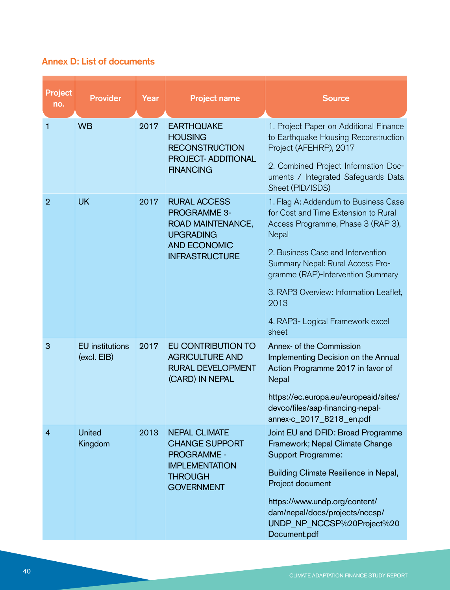#### Annex D: List of documents

| <b>Project</b><br>no. | <b>Provider</b>                       | Year | <b>Project name</b>                                                                                                                 | <b>Source</b>                                                                                                                                                                                                                                                                                                                            |
|-----------------------|---------------------------------------|------|-------------------------------------------------------------------------------------------------------------------------------------|------------------------------------------------------------------------------------------------------------------------------------------------------------------------------------------------------------------------------------------------------------------------------------------------------------------------------------------|
| 1                     | <b>WB</b>                             | 2017 | <b>EARTHQUAKE</b><br><b>HOUSING</b><br><b>RECONSTRUCTION</b><br><b>PROJECT- ADDITIONAL</b><br><b>FINANCING</b>                      | 1. Project Paper on Additional Finance<br>to Earthquake Housing Reconstruction<br>Project (AFEHRP), 2017<br>2. Combined Project Information Doc-<br>uments / Integrated Safeguards Data<br>Sheet (PID/ISDS)                                                                                                                              |
| $\overline{2}$        | <b>UK</b>                             | 2017 | <b>RURAL ACCESS</b><br><b>PROGRAMME 3-</b><br>ROAD MAINTENANCE,<br><b>UPGRADING</b><br><b>AND ECONOMIC</b><br><b>INFRASTRUCTURE</b> | 1. Flag A: Addendum to Business Case<br>for Cost and Time Extension to Rural<br>Access Programme, Phase 3 (RAP 3),<br>Nepal<br>2. Business Case and Intervention<br>Summary Nepal: Rural Access Pro-<br>gramme (RAP)-Intervention Summary<br>3. RAP3 Overview: Information Leaflet,<br>2013<br>4. RAP3- Logical Framework excel<br>sheet |
| 3                     | <b>EU</b> institutions<br>(excl. EIB) | 2017 | EU CONTRIBUTION TO<br><b>AGRICULTURE AND</b><br><b>RURAL DEVELOPMENT</b><br>(CARD) IN NEPAL                                         | Annex- of the Commission<br>Implementing Decision on the Annual<br>Action Programme 2017 in favor of<br>Nepal<br>https://ec.europa.eu/europeaid/sites/<br>devco/files/aap-financing-nepal-<br>annex-c_2017_8218_en.pdf                                                                                                                   |
| 4                     | <b>United</b><br>Kingdom              | 2013 | <b>NEPAL CLIMATE</b><br><b>CHANGE SUPPORT</b><br><b>PROGRAMME -</b><br><b>IMPLEMENTATION</b><br><b>THROUGH</b><br><b>GOVERNMENT</b> | Joint EU and DFID: Broad Programme<br>Framework; Nepal Climate Change<br><b>Support Programme:</b><br>Building Climate Resilience in Nepal,<br>Project document<br>https://www.undp.org/content/<br>dam/nepal/docs/projects/nccsp/<br>UNDP_NP_NCCSP%20Project%20<br>Document.pdf                                                         |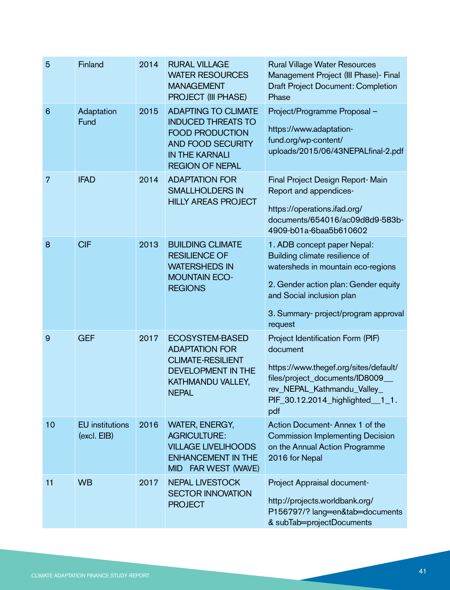| 5               | Finland                               | 2014 | <b>RURAL VILLAGE</b><br><b>WATER RESOURCES</b><br><b>MANAGEMENT</b><br>PROJECT (III PHASE)                                                                       | <b>Rural Village Water Resources</b><br>Management Project (III Phase) - Final<br><b>Draft Project Document: Completion</b><br>Phase                                                                                        |
|-----------------|---------------------------------------|------|------------------------------------------------------------------------------------------------------------------------------------------------------------------|-----------------------------------------------------------------------------------------------------------------------------------------------------------------------------------------------------------------------------|
| $6\phantom{1}6$ | Adaptation<br>Fund                    | 2015 | <b>ADAPTING TO CLIMATE</b><br><b>INDUCED THREATS TO</b><br><b>FOOD PRODUCTION</b><br><b>AND FOOD SECURITY</b><br><b>IN THE KARNALI</b><br><b>REGION OF NEPAL</b> | Project/Programme Proposal -<br>https://www.adaptation-<br>fund.org/wp-content/<br>uploads/2015/06/43NEPALfinal-2.pdf                                                                                                       |
| 7               | <b>IFAD</b>                           | 2014 | <b>ADAPTATION FOR</b><br><b>SMALLHOLDERS IN</b><br><b>HILLY AREAS PROJECT</b>                                                                                    | Final Project Design Report-Main<br>Report and appendices-<br>https://operations.ifad.org/<br>documents/654016/ac09d8d9-583b-<br>4909-b01a-6baa5b610602                                                                     |
| 8               | <b>CIF</b>                            | 2013 | <b>BUILDING CLIMATE</b><br><b>RESILIENCE OF</b><br><b>WATERSHEDS IN</b><br><b>MOUNTAIN ECO-</b><br><b>REGIONS</b>                                                | 1. ADB concept paper Nepal:<br>Building climate resilience of<br>watersheds in mountain eco-regions<br>2. Gender action plan: Gender equity<br>and Social inclusion plan<br>3. Summary- project/program approval<br>request |
| 9               | <b>GEF</b>                            | 2017 | <b>ECOSYSTEM-BASED</b><br><b>ADAPTATION FOR</b><br><b>CLIMATE-RESILIENT</b><br><b>DEVELOPMENT IN THE</b><br>KATHMANDU VALLEY,<br><b>NEPAL</b>                    | Project Identification Form (PIF)<br>document<br>https://www.thegef.org/sites/default/<br>files/project_documents/ID8009_<br>rev_NEPAL_Kathmandu_Valley_<br>PIF_30.12.2014_highlighted__1_1.<br>pdf                         |
| 10              | <b>EU</b> institutions<br>(excl. EIB) | 2016 | <b>WATER, ENERGY,</b><br><b>AGRICULTURE:</b><br><b>VILLAGE LIVELIHOODS</b><br><b>ENHANCEMENT IN THE</b><br>MID FAR WEST (WAVE)                                   | Action Document-Annex 1 of the<br><b>Commission Implementing Decision</b><br>on the Annual Action Programme<br>2016 for Nepal                                                                                               |
| 11              | <b>WB</b>                             | 2017 | <b>NEPAL LIVESTOCK</b><br><b>SECTOR INNOVATION</b><br><b>PROJECT</b>                                                                                             | Project Appraisal document-<br>http://projects.worldbank.org/<br>P156797/? lang=en&tab=documents<br>& subTab=projectDocuments                                                                                               |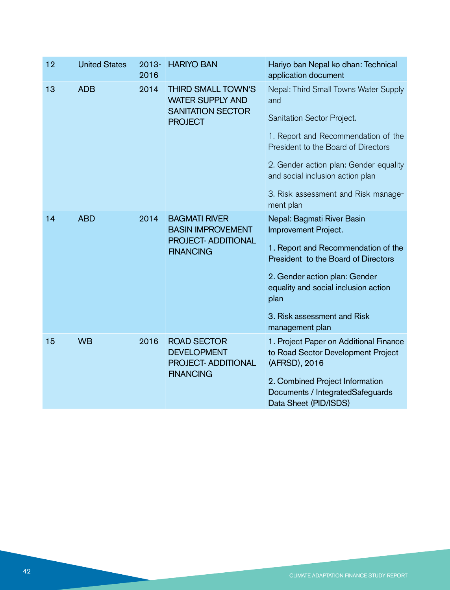| 12 | <b>United States</b> | $2013 -$<br>2016 | <b>HARIYO BAN</b>                                                                                  | Hariyo ban Nepal ko dhan: Technical<br>application document                                                                                                                                                                                                                                |
|----|----------------------|------------------|----------------------------------------------------------------------------------------------------|--------------------------------------------------------------------------------------------------------------------------------------------------------------------------------------------------------------------------------------------------------------------------------------------|
| 13 | <b>ADB</b>           | 2014             | <b>THIRD SMALL TOWN'S</b><br><b>WATER SUPPLY AND</b><br><b>SANITATION SECTOR</b><br><b>PROJECT</b> | Nepal: Third Small Towns Water Supply<br>and<br>Sanitation Sector Project.<br>1. Report and Recommendation of the<br>President to the Board of Directors<br>2. Gender action plan: Gender equality<br>and social inclusion action plan<br>3. Risk assessment and Risk manage-<br>ment plan |
| 14 | <b>ABD</b>           | 2014             | <b>BAGMATI RIVER</b><br><b>BASIN IMPROVEMENT</b><br><b>PROJECT- ADDITIONAL</b><br><b>FINANCING</b> | Nepal: Bagmati River Basin<br>Improvement Project.<br>1. Report and Recommendation of the<br>President to the Board of Directors<br>2. Gender action plan: Gender<br>equality and social inclusion action<br>plan<br>3. Risk assessment and Risk<br>management plan                        |
| 15 | <b>WB</b>            | 2016             | <b>ROAD SECTOR</b><br><b>DEVELOPMENT</b><br><b>PROJECT- ADDITIONAL</b><br><b>FINANCING</b>         | 1. Project Paper on Additional Finance<br>to Road Sector Development Project<br>(AFRSD), 2016<br>2. Combined Project Information<br>Documents / IntegratedSafeguards<br>Data Sheet (PID/ISDS)                                                                                              |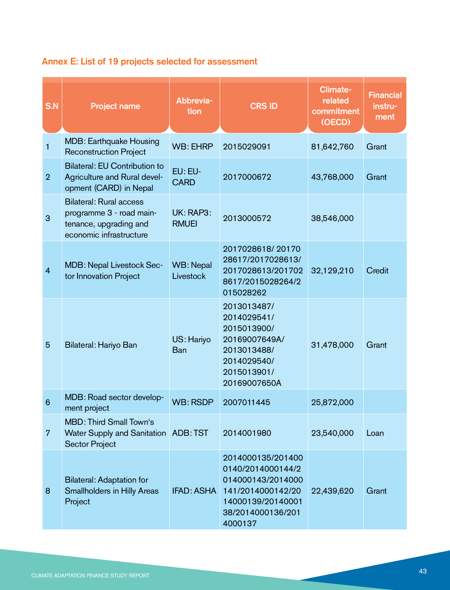#### Annex E: List of 19 projects selected for assessment

| S.N             | <b>Project name</b>                                                                                             | Abbrevia-<br>tion         | <b>CRS ID</b>                                                                                                                         | <b>Climate-</b><br>related<br>commitment<br>(OECD) | <b>Financial</b><br>instru-<br>ment |
|-----------------|-----------------------------------------------------------------------------------------------------------------|---------------------------|---------------------------------------------------------------------------------------------------------------------------------------|----------------------------------------------------|-------------------------------------|
| 1               | <b>MDB: Earthquake Housing</b><br><b>Reconstruction Project</b>                                                 | WB: EHRP                  | 2015029091                                                                                                                            | 81,642,760                                         | Grant                               |
| $\overline{2}$  | <b>Bilateral: EU Contribution to</b><br>Agriculture and Rural devel-<br>opment (CARD) in Nepal                  | EU: EU-<br><b>CARD</b>    | 2017000672                                                                                                                            | 43,768,000                                         | Grant                               |
| 3               | <b>Bilateral: Rural access</b><br>programme 3 - road main-<br>tenance, upgrading and<br>economic infrastructure | UK: RAP3:<br><b>RMUEI</b> | 2013000572                                                                                                                            | 38,546,000                                         |                                     |
| $\overline{4}$  | MDB: Nepal Livestock Sec-<br>tor Innovation Project                                                             | WB: Nepal<br>Livestock    | 2017028618/20170<br>28617/2017028613/<br>2017028613/201702<br>8617/2015028264/2<br>015028262                                          | 32,129,210                                         | Credit                              |
| 5               | Bilateral: Hariyo Ban                                                                                           | US: Hariyo<br><b>Ban</b>  | 2013013487/<br>2014029541/<br>2015013900/<br>20169007649A/<br>2013013488/<br>2014029540/<br>2015013901/<br>20169007650A               | 31,478,000                                         | Grant                               |
| $6\phantom{1}6$ | MDB: Road sector develop-<br>ment project                                                                       | <b>WB: RSDP</b>           | 2007011445                                                                                                                            | 25,872,000                                         |                                     |
| $\overline{7}$  | <b>MBD: Third Small Town's</b><br>Water Supply and Sanitation ADB: TST<br><b>Sector Project</b>                 |                           | 2014001980                                                                                                                            | 23,540,000                                         | Loan                                |
| 8               | <b>Bilateral: Adaptation for</b><br><b>Smallholders in Hilly Areas</b><br>Project                               | <b>IFAD: ASHA</b>         | 2014000135/201400<br>0140/2014000144/2<br>014000143/2014000<br>141/2014000142/20<br>14000139/20140001<br>38/2014000136/201<br>4000137 | 22,439,620                                         | Grant                               |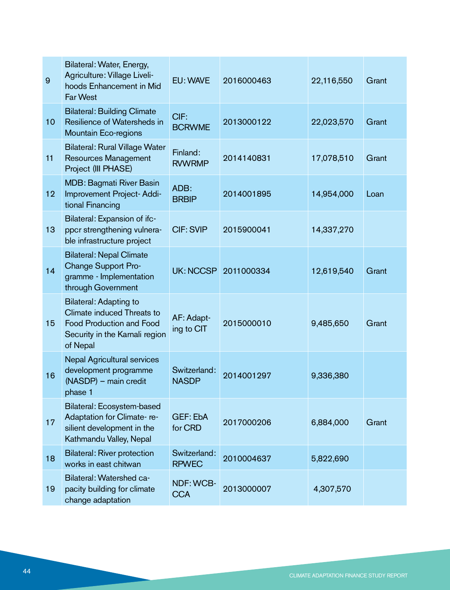| 9  | Bilateral: Water, Energy,<br>Agriculture: Village Liveli-<br>hoods Enhancement in Mid<br>Far West                                            | EU: WAVE                     | 2016000463 | 22,116,550 | Grant |
|----|----------------------------------------------------------------------------------------------------------------------------------------------|------------------------------|------------|------------|-------|
| 10 | <b>Bilateral: Building Climate</b><br>Resilience of Watersheds in<br>Mountain Eco-regions                                                    | CIF:<br><b>BCRWME</b>        | 2013000122 | 22,023,570 | Grant |
| 11 | <b>Bilateral: Rural Village Water</b><br>Resources Management<br>Project (III PHASE)                                                         | Finland:<br><b>RVWRMP</b>    | 2014140831 | 17,078,510 | Grant |
| 12 | <b>MDB: Bagmati River Basin</b><br>Improvement Project-Addi-<br>tional Financing                                                             | ADB:<br><b>BRBIP</b>         | 2014001895 | 14,954,000 | Loan  |
| 13 | Bilateral: Expansion of ifc-<br>ppcr strengthening vulnera-<br>ble infrastructure project                                                    | <b>CIF: SVIP</b>             | 2015900041 | 14,337,270 |       |
| 14 | <b>Bilateral: Nepal Climate</b><br>Change Support Pro-<br>gramme - Implementation<br>through Government                                      | UK: NCCSP                    | 2011000334 | 12,619,540 | Grant |
| 15 | <b>Bilateral: Adapting to</b><br>Climate induced Threats to<br><b>Food Production and Food</b><br>Security in the Karnali region<br>of Nepal | AF: Adapt-<br>ing to CIT     | 2015000010 | 9,485,650  | Grant |
| 16 | <b>Nepal Agricultural services</b><br>development programme<br>(NASDP) - main credit<br>phase 1                                              | Switzerland:<br><b>NASDP</b> | 2014001297 | 9,336,380  |       |
| 17 | Bilateral: Ecosystem-based<br>Adaptation for Climate-re-<br>silient development in the<br>Kathmandu Valley, Nepal                            | GEF: EbA<br>for CRD          | 2017000206 | 6,884,000  | Grant |
| 18 | <b>Bilateral: River protection</b><br>works in east chitwan                                                                                  | Switzerland:<br><b>RPWEC</b> | 2010004637 | 5,822,690  |       |
| 19 | Bilateral: Watershed ca-<br>pacity building for climate<br>change adaptation                                                                 | NDF: WCB-<br><b>CCA</b>      | 2013000007 | 4,307,570  |       |